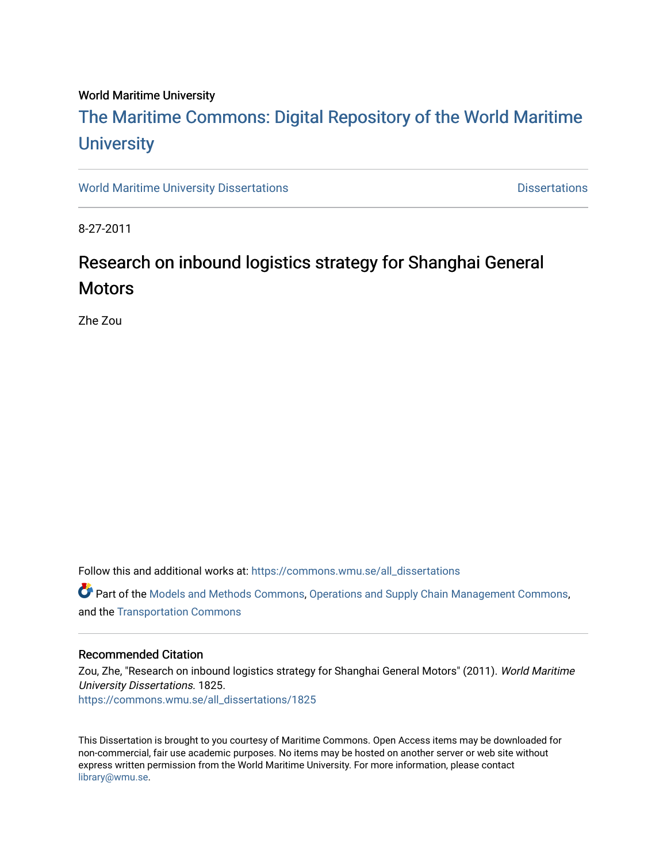#### World Maritime University

# [The Maritime Commons: Digital Repository of the World Maritime](https://commons.wmu.se/)  **University**

[World Maritime University Dissertations](https://commons.wmu.se/all_dissertations) **Distributions** [Dissertations](https://commons.wmu.se/dissertations) Dissertations

8-27-2011

# Research on inbound logistics strategy for Shanghai General **Motors**

Zhe Zou

Follow this and additional works at: [https://commons.wmu.se/all\\_dissertations](https://commons.wmu.se/all_dissertations?utm_source=commons.wmu.se%2Fall_dissertations%2F1825&utm_medium=PDF&utm_campaign=PDFCoverPages) 

**P** Part of the [Models and Methods Commons,](http://network.bepress.com/hgg/discipline/390?utm_source=commons.wmu.se%2Fall_dissertations%2F1825&utm_medium=PDF&utm_campaign=PDFCoverPages) [Operations and Supply Chain Management Commons,](http://network.bepress.com/hgg/discipline/1229?utm_source=commons.wmu.se%2Fall_dissertations%2F1825&utm_medium=PDF&utm_campaign=PDFCoverPages) and the [Transportation Commons](http://network.bepress.com/hgg/discipline/1068?utm_source=commons.wmu.se%2Fall_dissertations%2F1825&utm_medium=PDF&utm_campaign=PDFCoverPages) 

#### Recommended Citation

Zou, Zhe, "Research on inbound logistics strategy for Shanghai General Motors" (2011). World Maritime University Dissertations. 1825. [https://commons.wmu.se/all\\_dissertations/1825](https://commons.wmu.se/all_dissertations/1825?utm_source=commons.wmu.se%2Fall_dissertations%2F1825&utm_medium=PDF&utm_campaign=PDFCoverPages)

This Dissertation is brought to you courtesy of Maritime Commons. Open Access items may be downloaded for non-commercial, fair use academic purposes. No items may be hosted on another server or web site without express written permission from the World Maritime University. For more information, please contact [library@wmu.se](mailto:library@wmu.edu).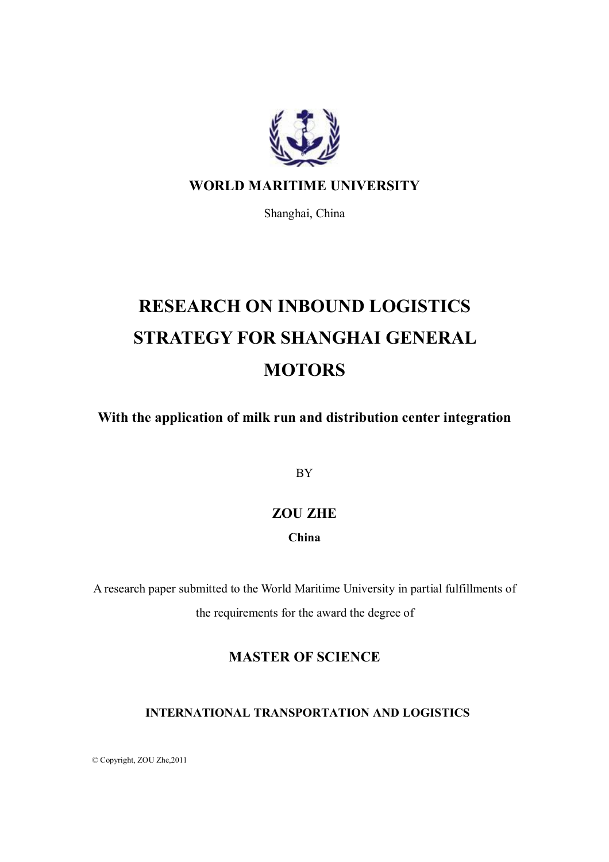

### **WORLD MARITIME UNIVERSITY**

Shanghai, China

# **RESEARCH ON INBOUND LOGISTICS STRATEGY FOR SHANGHAI GENERAL MOTORS**

**With the application of milk run and distribution center integration**

BY

### **ZOU ZHE**

### **China**

A research paper submitted to the World Maritime University in partial fulfillments of the requirements for the award the degree of

### **MASTER OF SCIENCE**

### **INTERNATIONAL TRANSPORTATION AND LOGISTICS**

© Copyright, ZOU Zhe,2011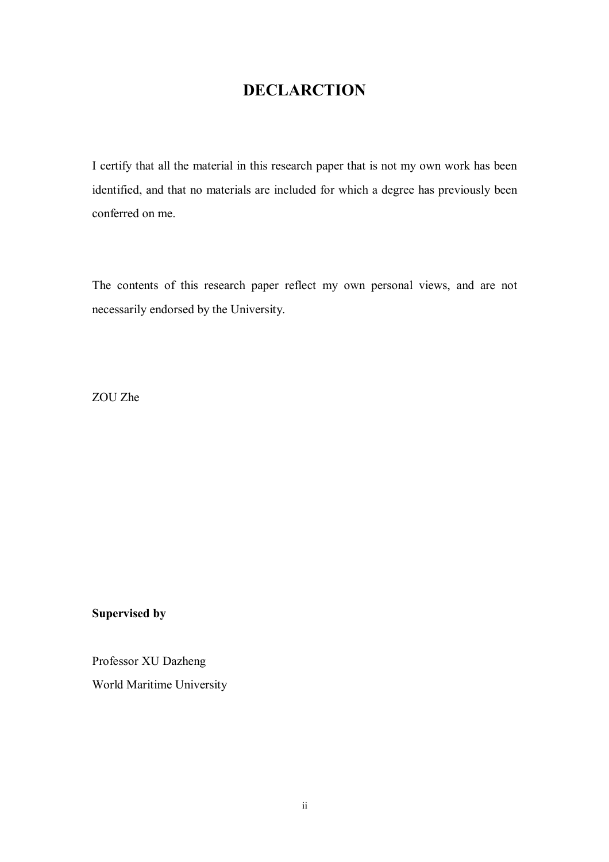# **DECLARCTION**

I certify that all the material in this research paper that is not my own work has been identified, and that no materials are included for which a degree has previously been conferred on me.

The contents of this research paper reflect my own personal views, and are not necessarily endorsed by the University.

ZOU Zhe

### **Supervised by**

Professor XU Dazheng

World Maritime University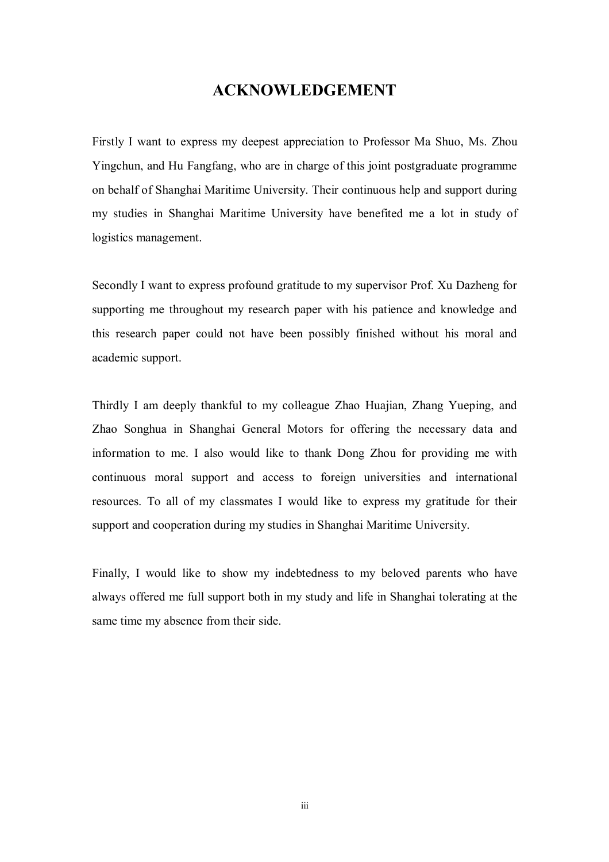### **ACKNOWLEDGEMENT**

Firstly I want to express my deepest appreciation to Professor Ma Shuo, Ms. Zhou Yingchun, and Hu Fangfang, who are in charge of this joint postgraduate programme on behalf of Shanghai Maritime University. Their continuous help and support during my studies in Shanghai Maritime University have benefited me a lot in study of logistics management.

Secondly I want to express profound gratitude to my supervisor Prof. Xu Dazheng for supporting me throughout my research paper with his patience and knowledge and this research paper could not have been possibly finished without his moral and academic support.

Thirdly I am deeply thankful to my colleague Zhao Huajian, Zhang Yueping, and Zhao Songhua in Shanghai General Motors for offering the necessary data and information to me. I also would like to thank Dong Zhou for providing me with continuous moral support and access to foreign universities and international resources. To all of my classmates I would like to express my gratitude for their support and cooperation during my studies in Shanghai Maritime University.

Finally, I would like to show my indebtedness to my beloved parents who have always offered me full support both in my study and life in Shanghai tolerating at the same time my absence from their side.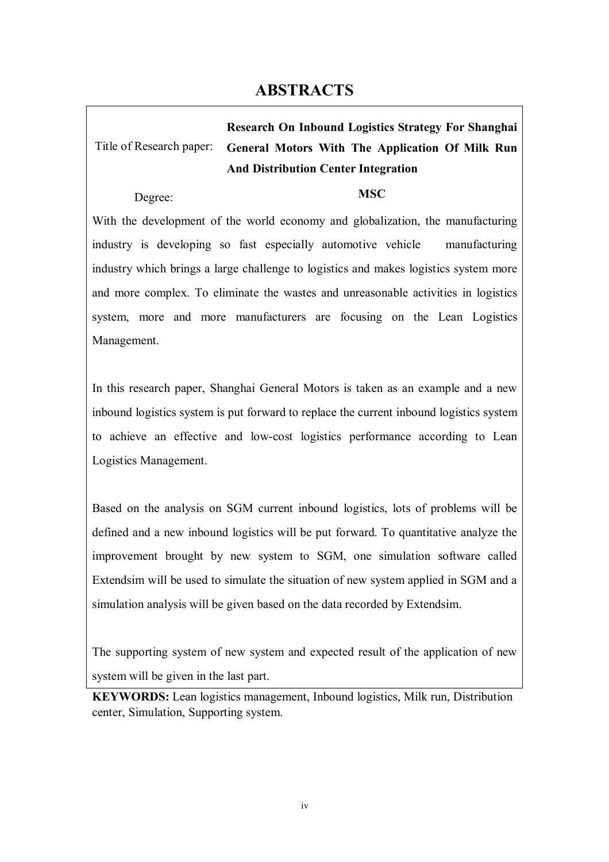# **ABSTRACTS**

Title of Research paper: **Research On Inbound Logistics Strategy For Shanghai General Motors With The Application Of Milk Run And Distribution Center Integration**

Degree: **MSC**

With the development of the world economy and globalization, the manufacturing industry is developing so fast especially automotive vehicle manufacturing industry which brings a large challenge to logistics and makes logistics system more and more complex. To eliminate the wastes and unreasonable activities in logistics system, more and more manufacturers are focusing on the Lean Logistics Management.

In this research paper, Shanghai General Motors is taken as an example and a new inbound logistics system is put forward to replace the current inbound logistics system to achieve an effective and low-cost logistics performance according to Lean Logistics Management.

Based on the analysis on SGM current inbound logistics, lots of problems will be defined and a new inbound logistics will be put forward. To quantitative analyze the improvement brought by new system to SGM, one simulation software called Extendsim will be used to simulate the situation of new system applied in SGM and a simulation analysis will be given based on the data recorded by Extendsim.

The supporting system of new system and expected result of the application of new system will be given in the last part.

**KEYWORDS:** Lean logistics management, Inbound logistics, Milk run, Distribution center, Simulation, Supporting system.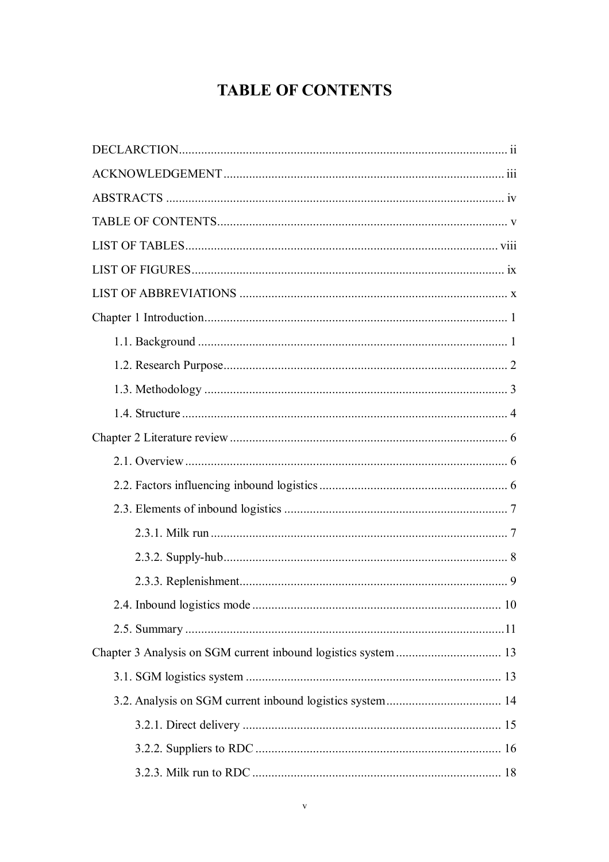# **TABLE OF CONTENTS**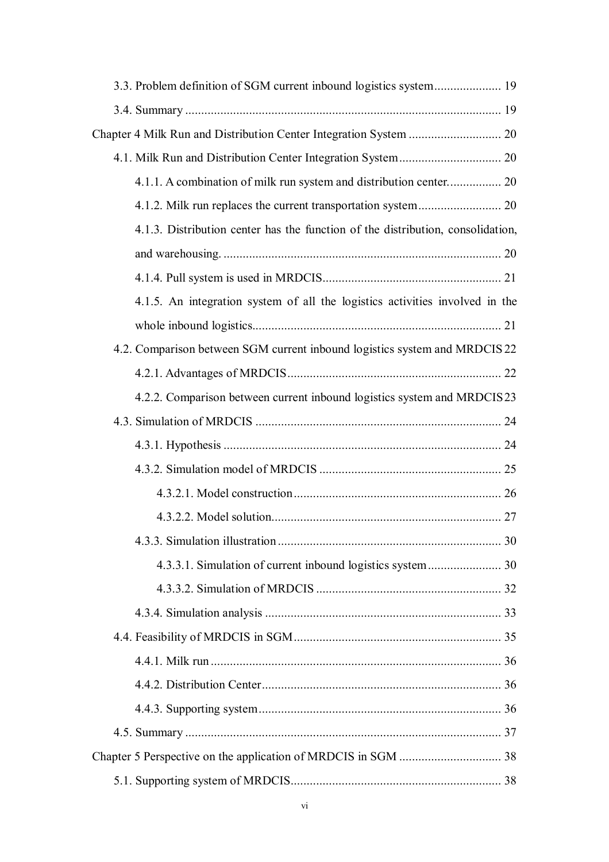| 4.1.1. A combination of milk run system and distribution center 20              |  |
|---------------------------------------------------------------------------------|--|
|                                                                                 |  |
| 4.1.3. Distribution center has the function of the distribution, consolidation, |  |
|                                                                                 |  |
|                                                                                 |  |
| 4.1.5. An integration system of all the logistics activities involved in the    |  |
|                                                                                 |  |
| 4.2. Comparison between SGM current inbound logistics system and MRDCIS 22      |  |
|                                                                                 |  |
| 4.2.2. Comparison between current inbound logistics system and MRDCIS23         |  |
|                                                                                 |  |
|                                                                                 |  |
|                                                                                 |  |
|                                                                                 |  |
|                                                                                 |  |
|                                                                                 |  |
|                                                                                 |  |
|                                                                                 |  |
|                                                                                 |  |
|                                                                                 |  |
|                                                                                 |  |
|                                                                                 |  |
|                                                                                 |  |
|                                                                                 |  |
|                                                                                 |  |
|                                                                                 |  |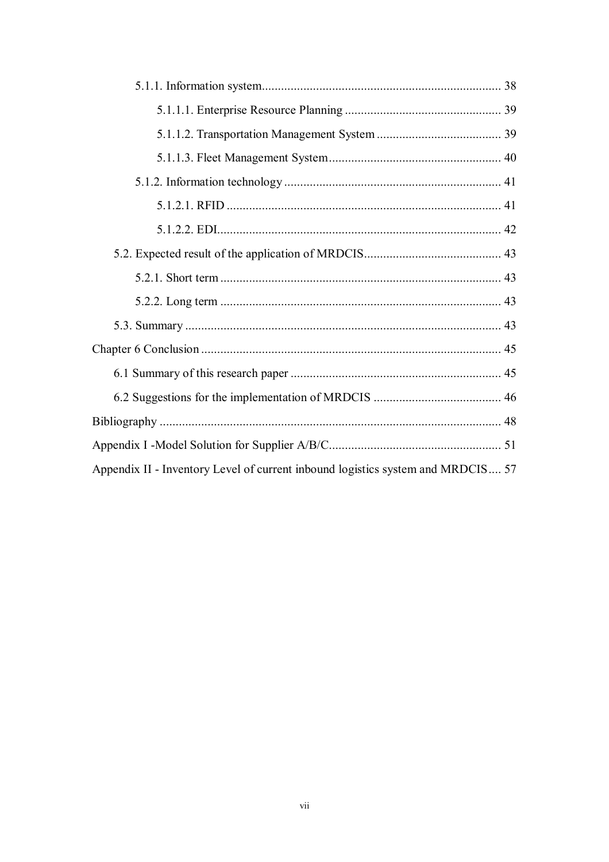| Appendix II - Inventory Level of current inbound logistics system and MRDCIS 57 |
|---------------------------------------------------------------------------------|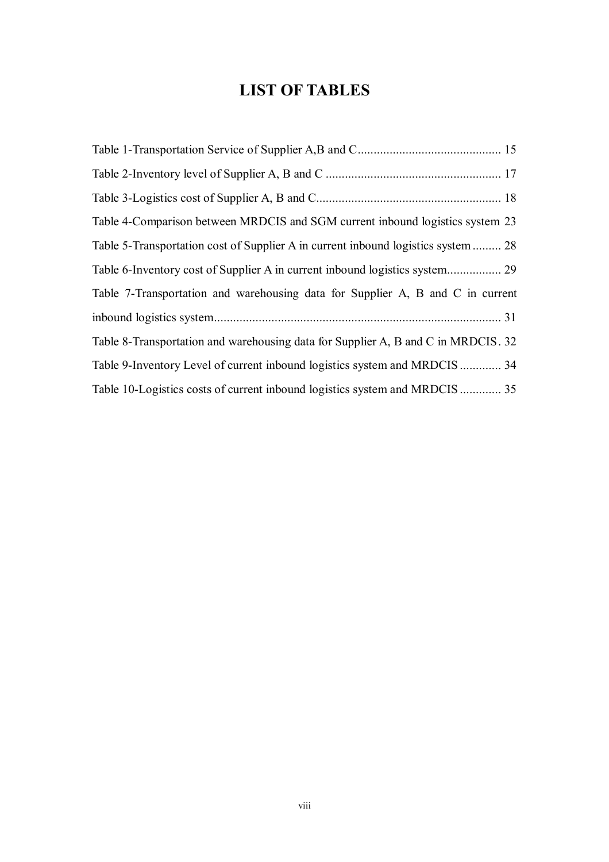# **LIST OF TABLES**

| Table 4-Comparison between MRDCIS and SGM current inbound logistics system 23     |
|-----------------------------------------------------------------------------------|
| Table 5-Transportation cost of Supplier A in current inbound logistics system  28 |
|                                                                                   |
| Table 7-Transportation and warehousing data for Supplier A, B and C in current    |
|                                                                                   |
| Table 8-Transportation and warehousing data for Supplier A, B and C in MRDCIS. 32 |
| Table 9-Inventory Level of current inbound logistics system and MRDCIS 34         |
| Table 10-Logistics costs of current inbound logistics system and MRDCIS 35        |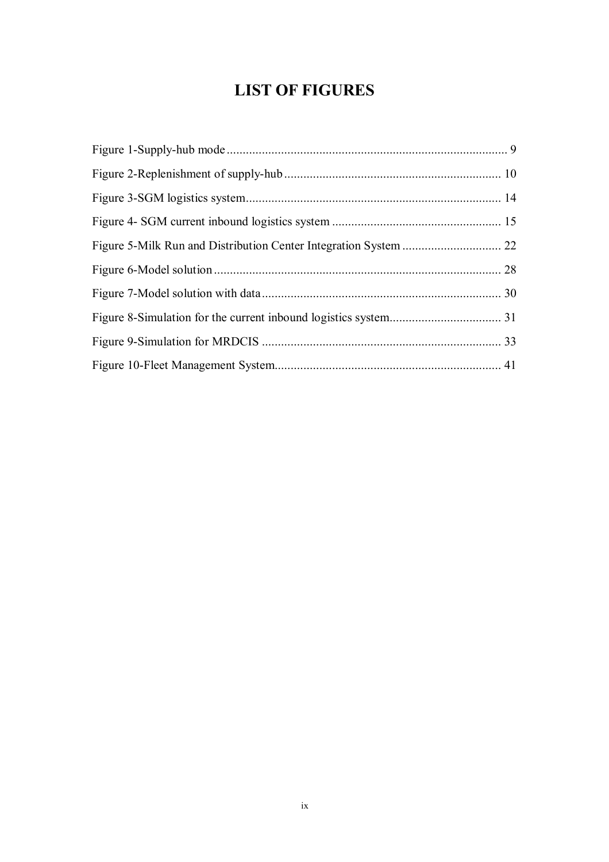# **LIST OF FIGURES**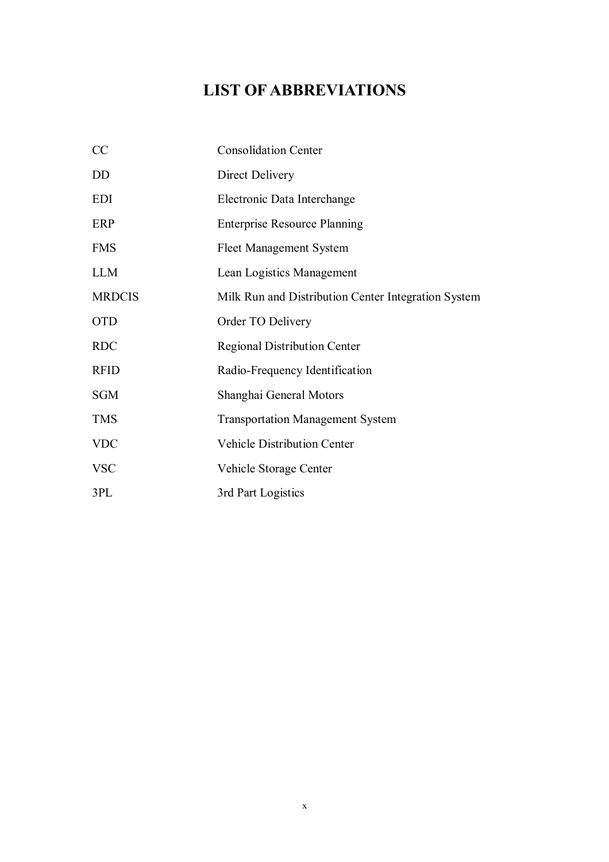# **LIST OF ABBREVIATIONS**

| CC            | <b>Consolidation Center</b>                         |
|---------------|-----------------------------------------------------|
| <b>DD</b>     | Direct Delivery                                     |
| <b>EDI</b>    | Electronic Data Interchange                         |
| ERP           | <b>Enterprise Resource Planning</b>                 |
| <b>FMS</b>    | <b>Fleet Management System</b>                      |
| <b>LLM</b>    | Lean Logistics Management                           |
| <b>MRDCIS</b> | Milk Run and Distribution Center Integration System |
| <b>OTD</b>    | Order TO Delivery                                   |
| <b>RDC</b>    | <b>Regional Distribution Center</b>                 |
| <b>RFID</b>   | Radio-Frequency Identification                      |
| <b>SGM</b>    | Shanghai General Motors                             |
| <b>TMS</b>    | <b>Transportation Management System</b>             |
| <b>VDC</b>    | <b>Vehicle Distribution Center</b>                  |
| <b>VSC</b>    | Vehicle Storage Center                              |
| 3PL           | 3rd Part Logistics                                  |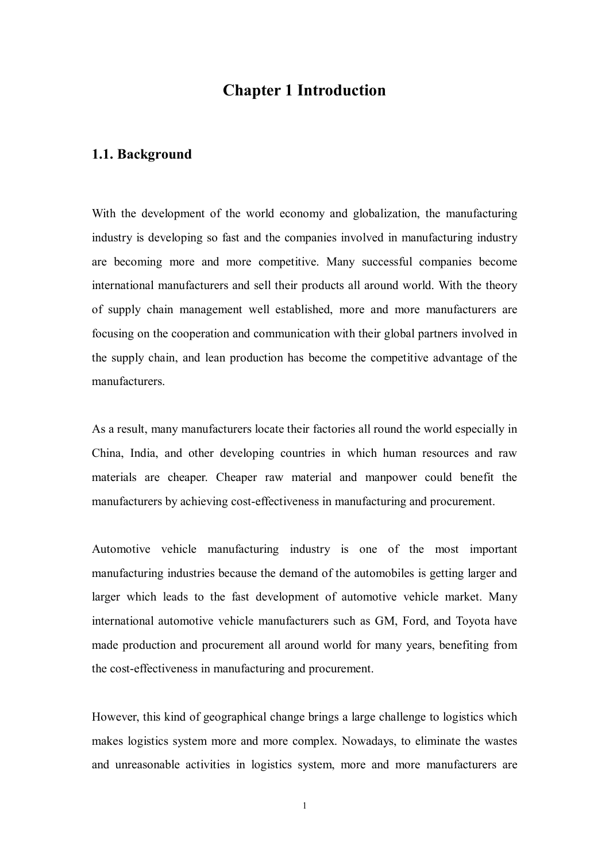### **Chapter 1 Introduction**

#### **1.1. Background**

With the development of the world economy and globalization, the manufacturing industry is developing so fast and the companies involved in manufacturing industry are becoming more and more competitive. Many successful companies become international manufacturers and sell their products all around world. With the theory of supply chain management well established, more and more manufacturers are focusing on the cooperation and communication with their global partners involved in the supply chain, and lean production has become the competitive advantage of the manufacturers.

As a result, many manufacturers locate their factories all round the world especially in China, India, and other developing countries in which human resources and raw materials are cheaper. Cheaper raw material and manpower could benefit the manufacturers by achieving cost-effectiveness in manufacturing and procurement.

Automotive vehicle manufacturing industry is one of the most important manufacturing industries because the demand of the automobiles is getting larger and larger which leads to the fast development of automotive vehicle market. Many international automotive vehicle manufacturers such as GM, Ford, and Toyota have made production and procurement all around world for many years, benefiting from the cost-effectiveness in manufacturing and procurement.

However, this kind of geographical change brings a large challenge to logistics which makes logistics system more and more complex. Nowadays, to eliminate the wastes and unreasonable activities in logistics system, more and more manufacturers are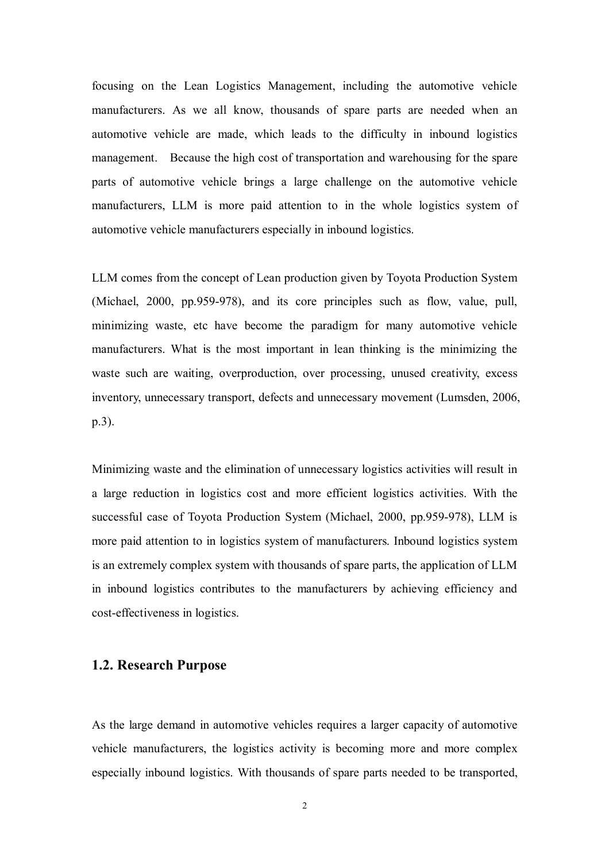focusing on the Lean Logistics Management, including the automotive vehicle manufacturers. As we all know, thousands of spare parts are needed when an automotive vehicle are made, which leads to the difficulty in inbound logistics management. Because the high cost of transportation and warehousing for the spare parts of automotive vehicle brings a large challenge on the automotive vehicle manufacturers, LLM is more paid attention to in the whole logistics system of automotive vehicle manufacturers especially in inbound logistics.

LLM comes from the concept of Lean production given by Toyota Production System (Michael, 2000, pp.959-978), and its core principles such as flow, value, pull, minimizing waste, etc have become the paradigm for many automotive vehicle manufacturers. What is the most important in lean thinking is the minimizing the waste such are waiting, overproduction, over processing, unused creativity, excess inventory, unnecessary transport, defects and unnecessary movement (Lumsden, 2006, p.3).

Minimizing waste and the elimination of unnecessary logistics activities will result in a large reduction in logistics cost and more efficient logistics activities. With the successful case of Toyota Production System (Michael, 2000, pp.959-978), LLM is more paid attention to in logistics system of manufacturers. Inbound logistics system is an extremely complex system with thousands of spare parts, the application of LLM in inbound logistics contributes to the manufacturers by achieving efficiency and cost-effectiveness in logistics.

#### **1.2. Research Purpose**

As the large demand in automotive vehicles requires a larger capacity of automotive vehicle manufacturers, the logistics activity is becoming more and more complex especially inbound logistics. With thousands of spare parts needed to be transported,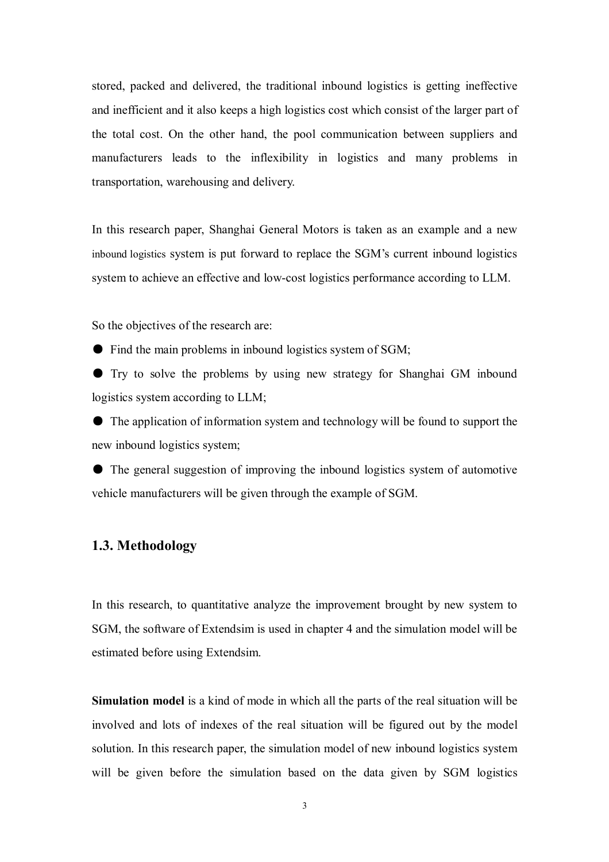stored, packed and delivered, the traditional inbound logistics is getting ineffective and inefficient and it also keeps a high logistics cost which consist of the larger part of the total cost. On the other hand, the pool communication between suppliers and manufacturers leads to the inflexibility in logistics and many problems in transportation, warehousing and delivery.

In this research paper, Shanghai General Motors is taken as an example and a new inbound logistics system is put forward to replace the SGM's current inbound logistics system to achieve an effective and low-cost logistics performance according to LLM.

So the objectives of the research are:

● Find the main problems in inbound logistics system of SGM;

● Try to solve the problems by using new strategy for Shanghai GM inbound logistics system according to LLM;

● The application of information system and technology will be found to support the new inbound logistics system;

● The general suggestion of improving the inbound logistics system of automotive vehicle manufacturers will be given through the example of SGM.

### **1.3. Methodology**

In this research, to quantitative analyze the improvement brought by new system to SGM, the software of Extendsim is used in chapter 4 and the simulation model will be estimated before using Extendsim.

**Simulation model** is a kind of mode in which all the parts of the real situation will be involved and lots of indexes of the real situation will be figured out by the model solution. In this research paper, the simulation model of new inbound logistics system will be given before the simulation based on the data given by SGM logistics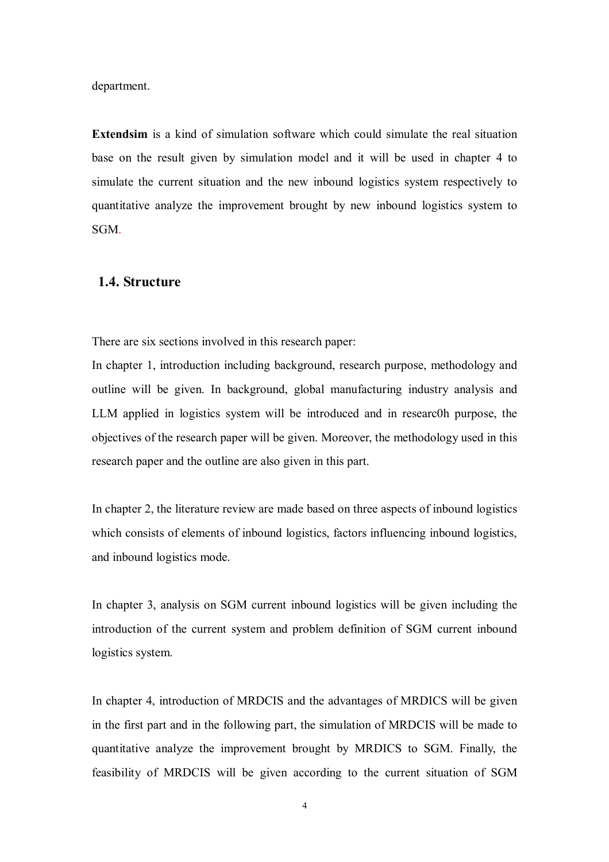department.

**Extendsim** is a kind of simulation software which could simulate the real situation base on the result given by simulation model and it will be used in chapter 4 to simulate the current situation and the new inbound logistics system respectively to quantitative analyze the improvement brought by new inbound logistics system to SGM.

#### **1.4. Structure**

There are six sections involved in this research paper:

In chapter 1, introduction including background, research purpose, methodology and outline will be given. In background, global manufacturing industry analysis and LLM applied in logistics system will be introduced and in researc0h purpose, the objectives of the research paper will be given. Moreover, the methodology used in this research paper and the outline are also given in this part.

In chapter 2, the literature review are made based on three aspects of inbound logistics which consists of elements of inbound logistics, factors influencing inbound logistics, and inbound logistics mode.

In chapter 3, analysis on SGM current inbound logistics will be given including the introduction of the current system and problem definition of SGM current inbound logistics system.

In chapter 4, introduction of MRDCIS and the advantages of MRDICS will be given in the first part and in the following part, the simulation of MRDCIS will be made to quantitative analyze the improvement brought by MRDICS to SGM. Finally, the feasibility of MRDCIS will be given according to the current situation of SGM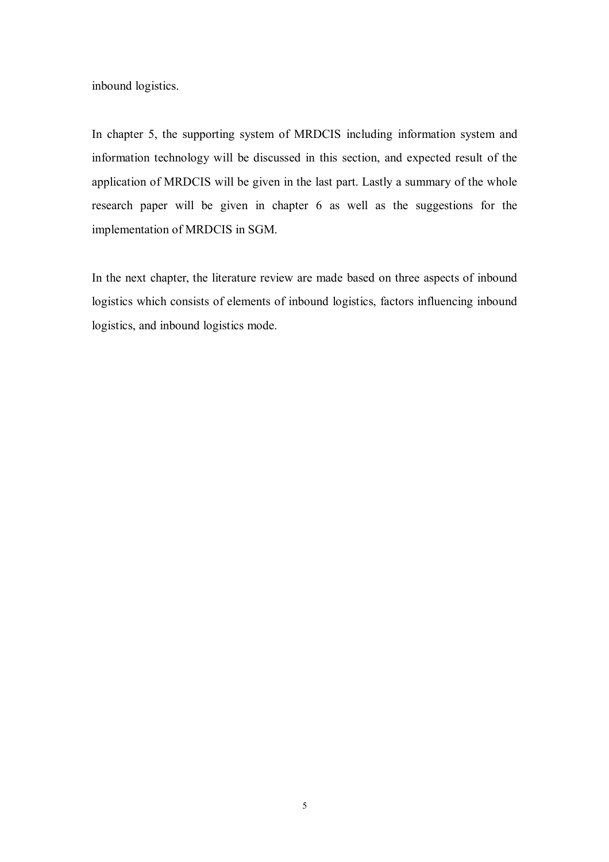inbound logistics.

In chapter 5, the supporting system of MRDCIS including information system and information technology will be discussed in this section, and expected result of the application of MRDCIS will be given in the last part. Lastly a summary of the whole research paper will be given in chapter 6 as well as the suggestions for the implementation of MRDCIS in SGM.

In the next chapter, the literature review are made based on three aspects of inbound logistics which consists of elements of inbound logistics, factors influencing inbound logistics, and inbound logistics mode.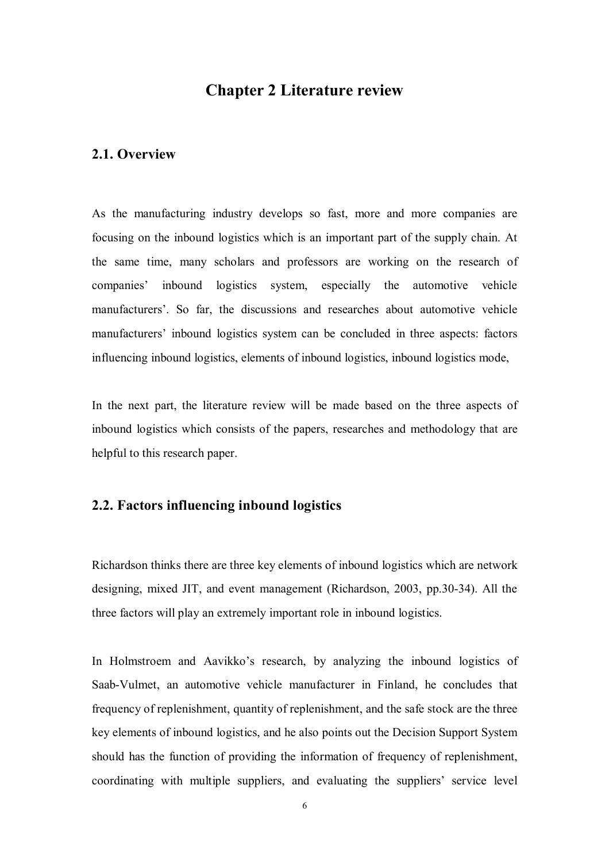### **Chapter 2 Literature review**

#### **2.1. Overview**

As the manufacturing industry develops so fast, more and more companies are focusing on the inbound logistics which is an important part of the supply chain. At the same time, many scholars and professors are working on the research of companies' inbound logistics system, especially the automotive vehicle manufacturers'. So far, the discussions and researches about automotive vehicle manufacturers' inbound logistics system can be concluded in three aspects: factors influencing inbound logistics, elements of inbound logistics, inbound logistics mode,

In the next part, the literature review will be made based on the three aspects of inbound logistics which consists of the papers, researches and methodology that are helpful to this research paper.

#### **2.2. Factors influencing inbound logistics**

Richardson thinks there are three key elements of inbound logistics which are network designing, mixed JIT, and event management (Richardson, 2003, pp.30-34). All the three factors will play an extremely important role in inbound logistics.

In Holmstroem and Aavikko's research, by analyzing the inbound logistics of Saab-Vulmet, an automotive vehicle manufacturer in Finland, he concludes that frequency of replenishment, quantity of replenishment, and the safe stock are the three key elements of inbound logistics, and he also points out the Decision Support System should has the function of providing the information of frequency of replenishment, coordinating with multiple suppliers, and evaluating the suppliers' service level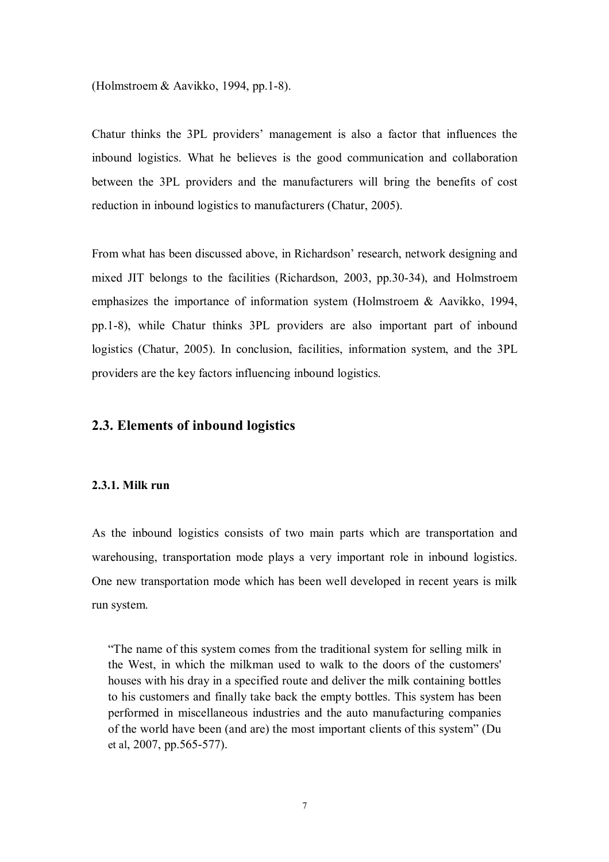(Holmstroem & Aavikko, 1994, pp.1-8).

Chatur thinks the 3PL providers' management is also a factor that influences the inbound logistics. What he believes is the good communication and collaboration between the 3PL providers and the manufacturers will bring the benefits of cost reduction in inbound logistics to manufacturers (Chatur, 2005).

From what has been discussed above, in Richardson' research, network designing and mixed JIT belongs to the facilities (Richardson, 2003, pp.30-34), and Holmstroem emphasizes the importance of information system (Holmstroem & Aavikko, 1994, pp.1-8), while Chatur thinks 3PL providers are also important part of inbound logistics (Chatur, 2005). In conclusion, facilities, information system, and the 3PL providers are the key factors influencing inbound logistics.

#### **2.3. Elements of inbound logistics**

#### **2.3.1. Milk run**

As the inbound logistics consists of two main parts which are transportation and warehousing, transportation mode plays a very important role in inbound logistics. One new transportation mode which has been well developed in recent years is milk run system.

"The name of this system comes from the traditional system for selling milk in the West, in which the milkman used to walk to the doors of the customers' houses with his dray in a specified route and deliver the milk containing bottles to his customers and finally take back the empty bottles. This system has been performed in miscellaneous industries and the auto manufacturing companies of the world have been (and are) the most important clients of this system" (Du et al, 2007, pp.565-577).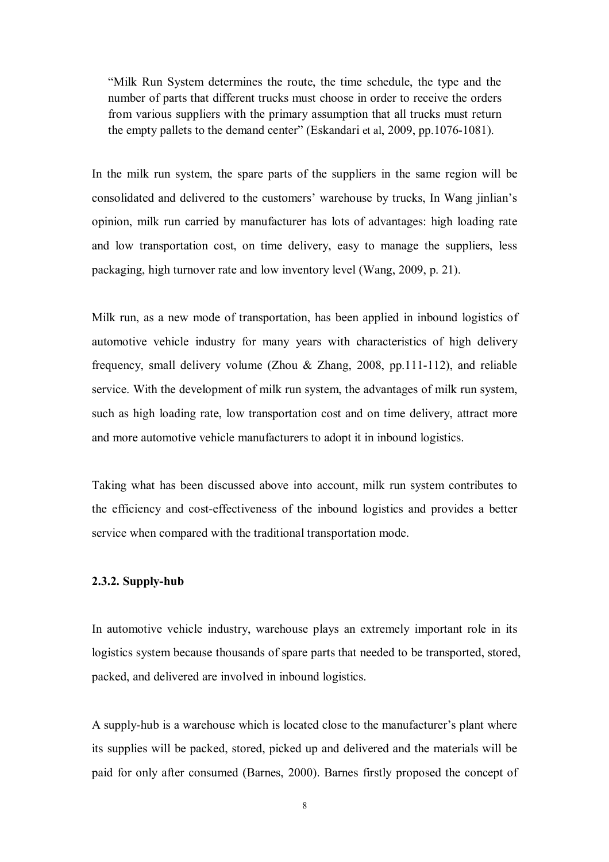"Milk Run System determines the route, the time schedule, the type and the number of parts that different trucks must choose in order to receive the orders from various suppliers with the primary assumption that all trucks must return the empty pallets to the demand center" (Eskandari et al, 2009, pp.1076-1081).

In the milk run system, the spare parts of the suppliers in the same region will be consolidated and delivered to the customers' warehouse by trucks, In Wang jinlian's opinion, milk run carried by manufacturer has lots of advantages: high loading rate and low transportation cost, on time delivery, easy to manage the suppliers, less packaging, high turnover rate and low inventory level (Wang, 2009, p. 21).

Milk run, as a new mode of transportation, has been applied in inbound logistics of automotive vehicle industry for many years with characteristics of high delivery frequency, small delivery volume (Zhou & Zhang, 2008, pp.111-112), and reliable service. With the development of milk run system, the advantages of milk run system, such as high loading rate, low transportation cost and on time delivery, attract more and more automotive vehicle manufacturers to adopt it in inbound logistics.

Taking what has been discussed above into account, milk run system contributes to the efficiency and cost-effectiveness of the inbound logistics and provides a better service when compared with the traditional transportation mode.

#### **2.3.2. Supply-hub**

In automotive vehicle industry, warehouse plays an extremely important role in its logistics system because thousands of spare parts that needed to be transported, stored, packed, and delivered are involved in inbound logistics.

A supply-hub is a warehouse which is located close to the manufacturer's plant where its supplies will be packed, stored, picked up and delivered and the materials will be paid for only after consumed (Barnes, 2000). Barnes firstly proposed the concept of

8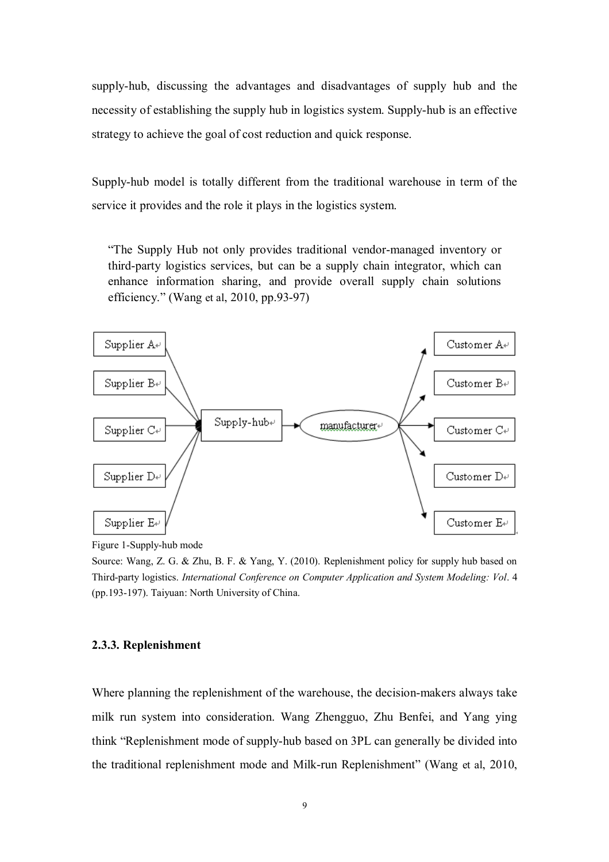supply-hub, discussing the advantages and disadvantages of supply hub and the necessity of establishing the supply hub in logistics system. Supply-hub is an effective strategy to achieve the goal of cost reduction and quick response.

Supply-hub model is totally different from the traditional warehouse in term of the service it provides and the role it plays in the logistics system.

"The Supply Hub not only provides traditional vendor-managed inventory or third-party logistics services, but can be a supply chain integrator, which can enhance information sharing, and provide overall supply chain solutions efficiency." (Wang et al, 2010, pp.93-97)



Figure 1-Supply-hub mode

Source: Wang, Z. G. & Zhu, B. F. & Yang, Y. (2010). Replenishment policy for supply hub based on Third-party logistics. *International Conference on Computer Application and System Modeling: Vol*. 4 (pp.193-197). Taiyuan: North University of China.

#### **2.3.3. Replenishment**

Where planning the replenishment of the warehouse, the decision-makers always take milk run system into consideration. Wang Zhengguo, Zhu Benfei, and Yang ying think "Replenishment mode of supply-hub based on 3PL can generally be divided into the traditional replenishment mode and Milk-run Replenishment" (Wang et al, 2010,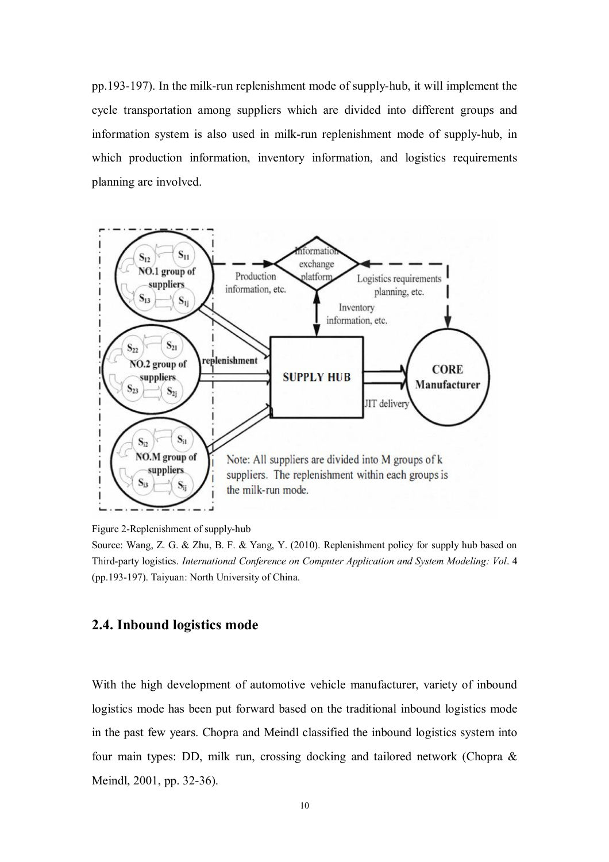pp.193-197). In the milk-run replenishment mode of supply-hub, it will implement the cycle transportation among suppliers which are divided into different groups and information system is also used in milk-run replenishment mode of supply-hub, in which production information, inventory information, and logistics requirements planning are involved.



Figure 2-Replenishment of supply-hub

Source: Wang, Z. G. & Zhu, B. F. & Yang, Y. (2010). Replenishment policy for supply hub based on Third-party logistics. *International Conference on Computer Application and System Modeling: Vol*. 4 (pp.193-197). Taiyuan: North University of China.

#### **2.4. Inbound logistics mode**

With the high development of automotive vehicle manufacturer, variety of inbound logistics mode has been put forward based on the traditional inbound logistics mode in the past few years. Chopra and Meindl classified the inbound logistics system into four main types: DD, milk run, crossing docking and tailored network (Chopra & Meindl, 2001, pp. 32-36).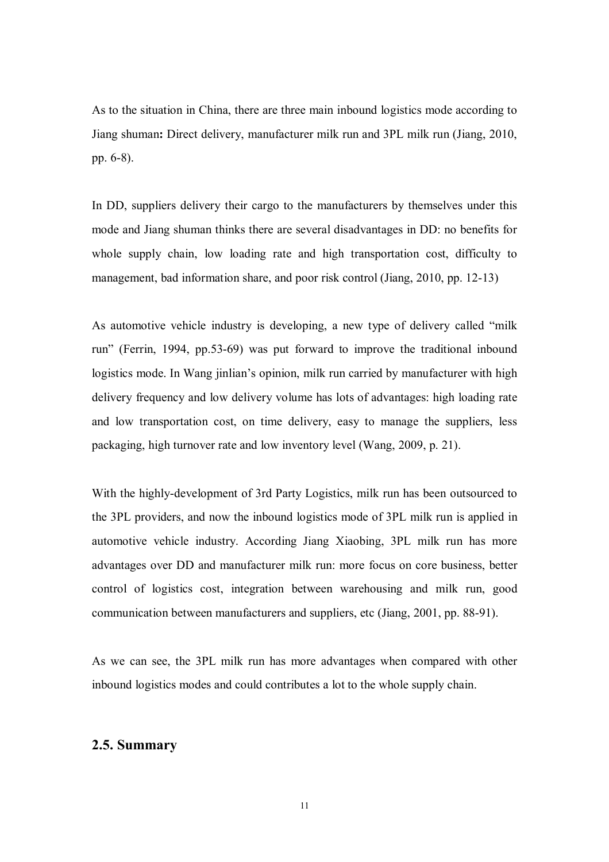As to the situation in China, there are three main inbound logistics mode according to Jiang shuman**:** Direct delivery, manufacturer milk run and 3PL milk run (Jiang, 2010, pp. 6-8).

In DD, suppliers delivery their cargo to the manufacturers by themselves under this mode and Jiang shuman thinks there are several disadvantages in DD: no benefits for whole supply chain, low loading rate and high transportation cost, difficulty to management, bad information share, and poor risk control (Jiang, 2010, pp. 12-13)

As automotive vehicle industry is developing, a new type of delivery called "milk run" (Ferrin, 1994, pp.53-69) was put forward to improve the traditional inbound logistics mode. In Wang jinlian's opinion, milk run carried by manufacturer with high delivery frequency and low delivery volume has lots of advantages: high loading rate and low transportation cost, on time delivery, easy to manage the suppliers, less packaging, high turnover rate and low inventory level (Wang, 2009, p. 21).

With the highly-development of 3rd Party Logistics, milk run has been outsourced to the 3PL providers, and now the inbound logistics mode of 3PL milk run is applied in automotive vehicle industry. According Jiang Xiaobing, 3PL milk run has more advantages over DD and manufacturer milk run: more focus on core business, better control of logistics cost, integration between warehousing and milk run, good communication between manufacturers and suppliers, etc (Jiang, 2001, pp. 88-91).

As we can see, the 3PL milk run has more advantages when compared with other inbound logistics modes and could contributes a lot to the whole supply chain.

### **2.5. Summary**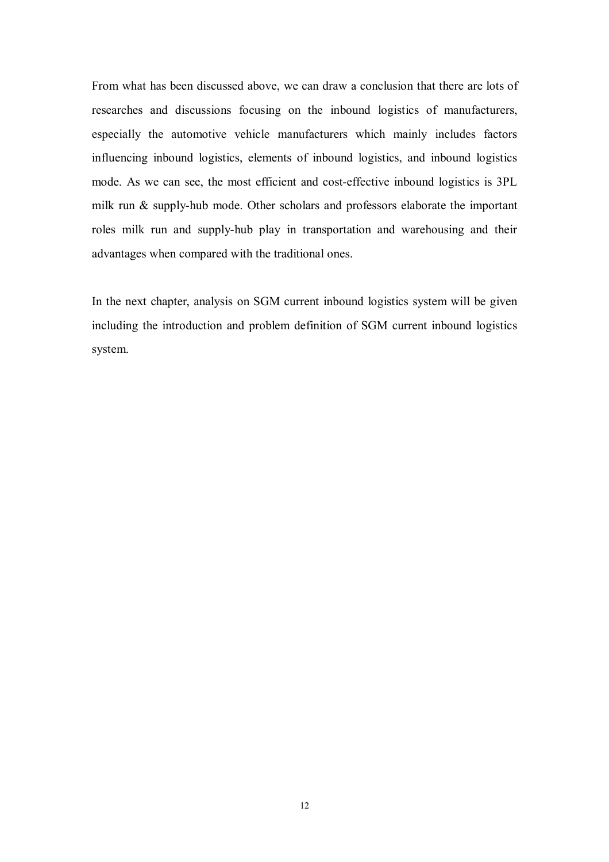From what has been discussed above, we can draw a conclusion that there are lots of researches and discussions focusing on the inbound logistics of manufacturers, especially the automotive vehicle manufacturers which mainly includes factors influencing inbound logistics, elements of inbound logistics, and inbound logistics mode. As we can see, the most efficient and cost-effective inbound logistics is 3PL milk run & supply-hub mode. Other scholars and professors elaborate the important roles milk run and supply-hub play in transportation and warehousing and their advantages when compared with the traditional ones.

In the next chapter, analysis on SGM current inbound logistics system will be given including the introduction and problem definition of SGM current inbound logistics system.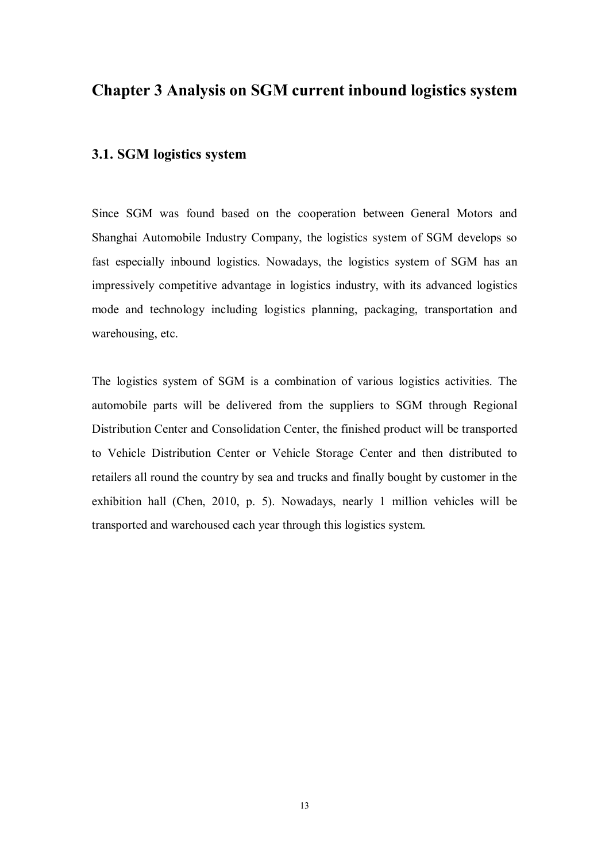# **Chapter 3 Analysis on SGM current inbound logistics system**

### **3.1. SGM logistics system**

Since SGM was found based on the cooperation between General Motors and Shanghai Automobile Industry Company, the logistics system of SGM develops so fast especially inbound logistics. Nowadays, the logistics system of SGM has an impressively competitive advantage in logistics industry, with its advanced logistics mode and technology including logistics planning, packaging, transportation and warehousing, etc.

The logistics system of SGM is a combination of various logistics activities. The automobile parts will be delivered from the suppliers to SGM through Regional Distribution Center and Consolidation Center, the finished product will be transported to Vehicle Distribution Center or Vehicle Storage Center and then distributed to retailers all round the country by sea and trucks and finally bought by customer in the exhibition hall (Chen, 2010, p. 5). Nowadays, nearly 1 million vehicles will be transported and warehoused each year through this logistics system.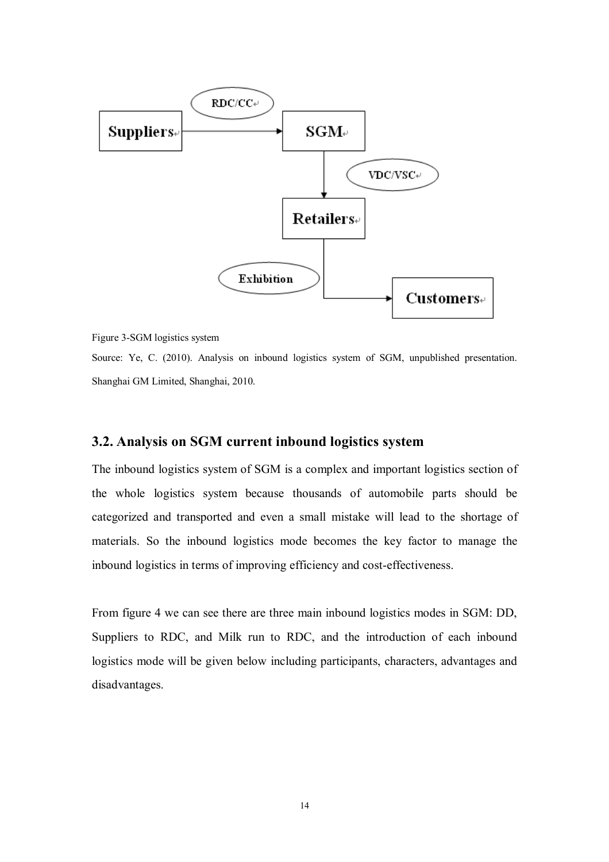

Figure 3-SGM logistics system

Source: Ye, C. (2010). Analysis on inbound logistics system of SGM, unpublished presentation. Shanghai GM Limited, Shanghai, 2010.

#### **3.2. Analysis on SGM current inbound logistics system**

The inbound logistics system of SGM is a complex and important logistics section of the whole logistics system because thousands of automobile parts should be categorized and transported and even a small mistake will lead to the shortage of materials. So the inbound logistics mode becomes the key factor to manage the inbound logistics in terms of improving efficiency and cost-effectiveness.

From figure 4 we can see there are three main inbound logistics modes in SGM: DD, Suppliers to RDC, and Milk run to RDC, and the introduction of each inbound logistics mode will be given below including participants, characters, advantages and disadvantages.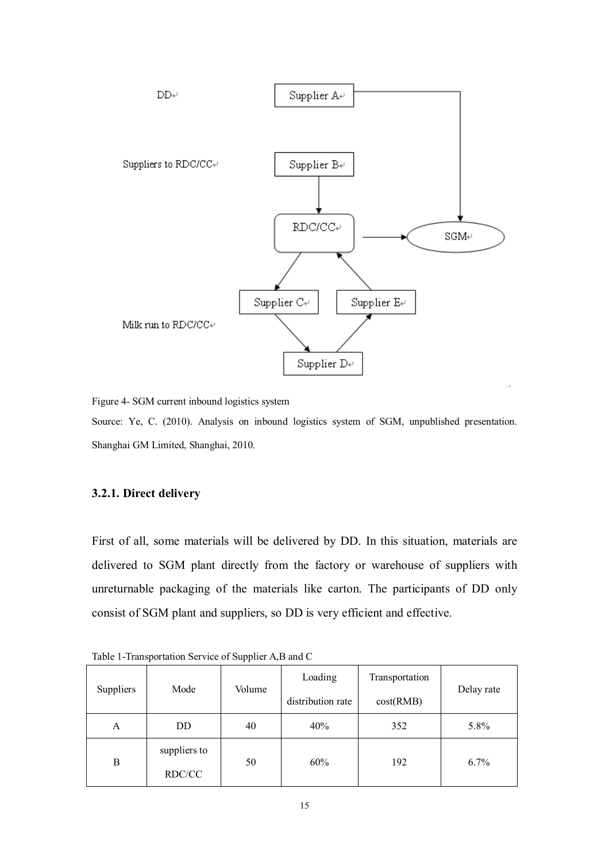

Figure 4- SGM current inbound logistics system

Source: Ye, C. (2010). Analysis on inbound logistics system of SGM, unpublished presentation. Shanghai GM Limited, Shanghai, 2010.

#### **3.2.1. Direct delivery**

First of all, some materials will be delivered by DD. In this situation, materials are delivered to SGM plant directly from the factory or warehouse of suppliers with unreturnable packaging of the materials like carton. The participants of DD only consist of SGM plant and suppliers, so DD is very efficient and effective.

| the second contract of the second second property of the second second second second second second second second second second second second second second second second second second second second second second second seco |                        |                   |           |                |      |
|--------------------------------------------------------------------------------------------------------------------------------------------------------------------------------------------------------------------------------|------------------------|-------------------|-----------|----------------|------|
| Suppliers<br>Mode                                                                                                                                                                                                              |                        |                   | Loading   | Transportation |      |
|                                                                                                                                                                                                                                | Volume                 | distribution rate | cost(RMB) | Delay rate     |      |
| A                                                                                                                                                                                                                              | DD                     | 40                | 40%       | 352            | 5.8% |
| B                                                                                                                                                                                                                              | suppliers to<br>RDC/CC | 50                | 60%       | 192            | 6.7% |

Table 1-Transportation Service of Supplier A,B and C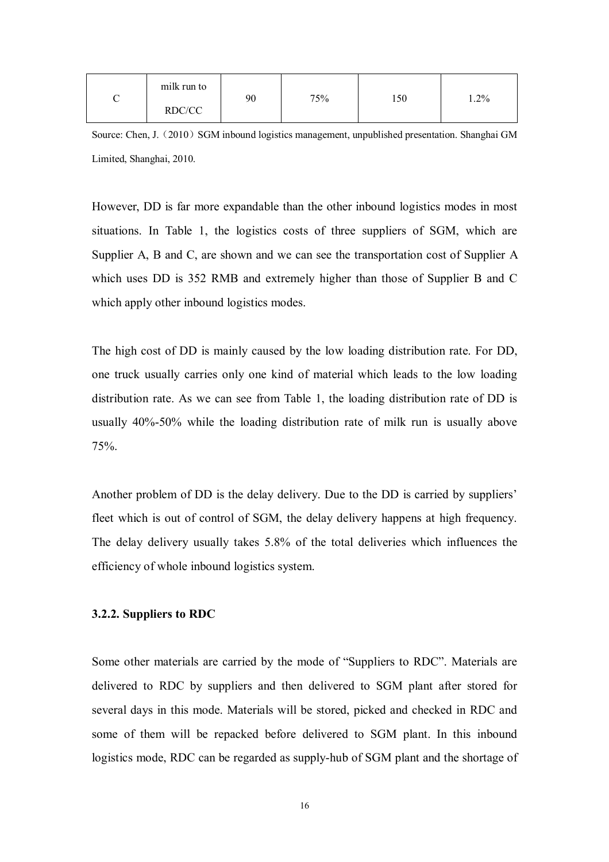| milk run to | 90 | 75% | 150 | 1.2% |
|-------------|----|-----|-----|------|
| RDC/CC      |    |     |     |      |

Source: Chen, J.  $(2010)$  SGM inbound logistics management, unpublished presentation. Shanghai GM Limited, Shanghai, 2010.

However, DD is far more expandable than the other inbound logistics modes in most situations. In Table 1, the logistics costs of three suppliers of SGM, which are Supplier A, B and C, are shown and we can see the transportation cost of Supplier A which uses DD is 352 RMB and extremely higher than those of Supplier B and C which apply other inbound logistics modes.

The high cost of DD is mainly caused by the low loading distribution rate. For DD, one truck usually carries only one kind of material which leads to the low loading distribution rate. As we can see from Table 1, the loading distribution rate of DD is usually 40%-50% while the loading distribution rate of milk run is usually above 75%.

Another problem of DD is the delay delivery. Due to the DD is carried by suppliers' fleet which is out of control of SGM, the delay delivery happens at high frequency. The delay delivery usually takes 5.8% of the total deliveries which influences the efficiency of whole inbound logistics system.

#### **3.2.2. Suppliers to RDC**

Some other materials are carried by the mode of "Suppliers to RDC". Materials are delivered to RDC by suppliers and then delivered to SGM plant after stored for several days in this mode. Materials will be stored, picked and checked in RDC and some of them will be repacked before delivered to SGM plant. In this inbound logistics mode, RDC can be regarded as supply-hub of SGM plant and the shortage of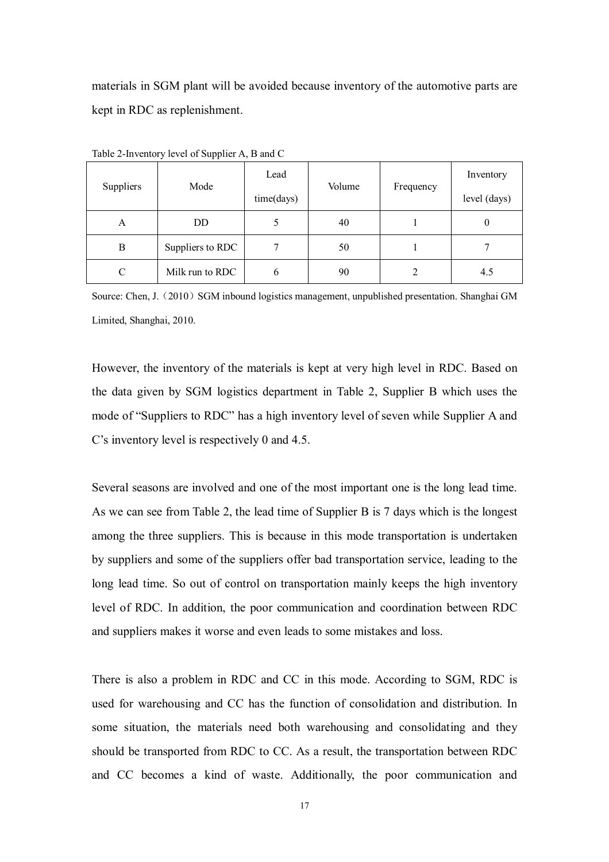materials in SGM plant will be avoided because inventory of the automotive parts are kept in RDC as replenishment.

| Suppliers | Mode             | Lead<br>time(days) | Volume | Frequency      | Inventory<br>level (days) |
|-----------|------------------|--------------------|--------|----------------|---------------------------|
| A         | DD.              | 5                  | 40     |                | 0                         |
| B         | Suppliers to RDC | 7                  | 50     |                |                           |
| C         | Milk run to RDC  | 6                  | 90     | $\mathfrak{D}$ | 4.5                       |

Table 2-Inventory level of Supplier A, B and C

Source: Chen, J. (2010) SGM inbound logistics management, unpublished presentation. Shanghai GM Limited, Shanghai, 2010.

However, the inventory of the materials is kept at very high level in RDC. Based on the data given by SGM logistics department in Table 2, Supplier B which uses the mode of "Suppliers to RDC" has a high inventory level of seven while Supplier A and C's inventory level is respectively 0 and 4.5.

Several seasons are involved and one of the most important one is the long lead time. As we can see from Table 2, the lead time of Supplier B is 7 days which is the longest among the three suppliers. This is because in this mode transportation is undertaken by suppliers and some of the suppliers offer bad transportation service, leading to the long lead time. So out of control on transportation mainly keeps the high inventory level of RDC. In addition, the poor communication and coordination between RDC and suppliers makes it worse and even leads to some mistakes and loss.

There is also a problem in RDC and CC in this mode. According to SGM, RDC is used for warehousing and CC has the function of consolidation and distribution. In some situation, the materials need both warehousing and consolidating and they should be transported from RDC to CC. As a result, the transportation between RDC and CC becomes a kind of waste. Additionally, the poor communication and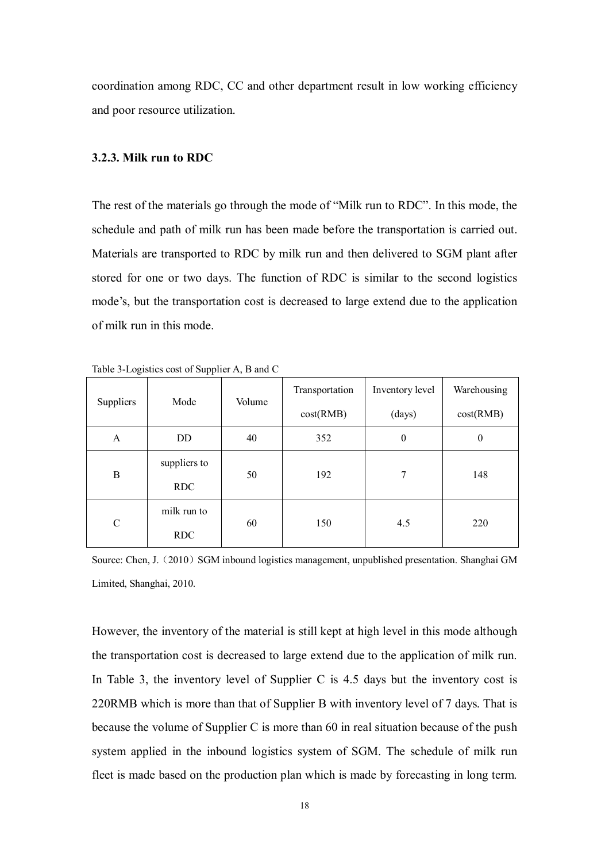coordination among RDC, CC and other department result in low working efficiency and poor resource utilization.

#### **3.2.3. Milk run to RDC**

The rest of the materials go through the mode of "Milk run to RDC". In this mode, the schedule and path of milk run has been made before the transportation is carried out. Materials are transported to RDC by milk run and then delivered to SGM plant after stored for one or two days. The function of RDC is similar to the second logistics mode's, but the transportation cost is decreased to large extend due to the application of milk run in this mode.

| Suppliers<br>Mode               |            | Volume | Transportation | Inventory level | Warehousing      |
|---------------------------------|------------|--------|----------------|-----------------|------------------|
|                                 |            |        | cost(RMB)      | (days)          | cost(RMB)        |
| A                               | DD.        | 40     | 352            | $\theta$        | $\boldsymbol{0}$ |
| suppliers to<br>B<br><b>RDC</b> | 50         | 192    | 7              | 148             |                  |
|                                 |            |        |                |                 |                  |
| $\mathcal{C}$                   | <b>RDC</b> | 150    | 4.5            | 220             |                  |

Table 3-Logistics cost of Supplier A, B and C

Source: Chen, J. (2010) SGM inbound logistics management, unpublished presentation. Shanghai GM Limited, Shanghai, 2010.

However, the inventory of the material is still kept at high level in this mode although the transportation cost is decreased to large extend due to the application of milk run. In Table 3, the inventory level of Supplier C is 4.5 days but the inventory cost is 220RMB which is more than that of Supplier B with inventory level of 7 days. That is because the volume of Supplier C is more than 60 in real situation because of the push system applied in the inbound logistics system of SGM. The schedule of milk run fleet is made based on the production plan which is made by forecasting in long term.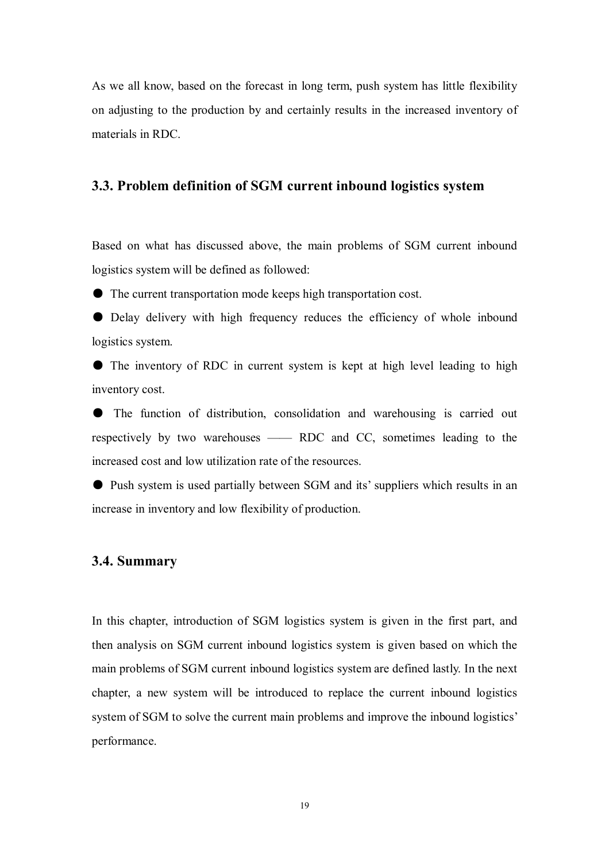As we all know, based on the forecast in long term, push system has little flexibility on adjusting to the production by and certainly results in the increased inventory of materials in RDC.

#### **3.3. Problem definition of SGM current inbound logistics system**

Based on what has discussed above, the main problems of SGM current inbound logistics system will be defined as followed:

● The current transportation mode keeps high transportation cost.

● Delay delivery with high frequency reduces the efficiency of whole inbound logistics system.

● The inventory of RDC in current system is kept at high level leading to high inventory cost.

● The function of distribution, consolidation and warehousing is carried out respectively by two warehouses —— RDC and CC, sometimes leading to the increased cost and low utilization rate of the resources.

● Push system is used partially between SGM and its' suppliers which results in an increase in inventory and low flexibility of production.

#### **3.4. Summary**

In this chapter, introduction of SGM logistics system is given in the first part, and then analysis on SGM current inbound logistics system is given based on which the main problems of SGM current inbound logistics system are defined lastly. In the next chapter, a new system will be introduced to replace the current inbound logistics system of SGM to solve the current main problems and improve the inbound logistics' performance.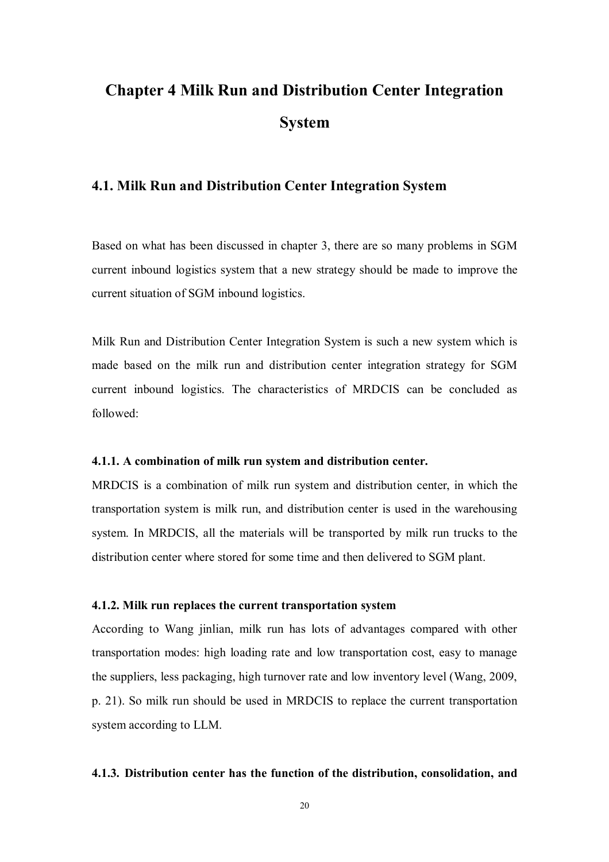# **Chapter 4 Milk Run and Distribution Center Integration System**

### **4.1. Milk Run and Distribution Center Integration System**

Based on what has been discussed in chapter 3, there are so many problems in SGM current inbound logistics system that a new strategy should be made to improve the current situation of SGM inbound logistics.

Milk Run and Distribution Center Integration System is such a new system which is made based on the milk run and distribution center integration strategy for SGM current inbound logistics. The characteristics of MRDCIS can be concluded as followed:

#### **4.1.1. A combination of milk run system and distribution center.**

MRDCIS is a combination of milk run system and distribution center, in which the transportation system is milk run, and distribution center is used in the warehousing system. In MRDCIS, all the materials will be transported by milk run trucks to the distribution center where stored for some time and then delivered to SGM plant.

#### **4.1.2. Milk run replaces the current transportation system**

According to Wang jinlian, milk run has lots of advantages compared with other transportation modes: high loading rate and low transportation cost, easy to manage the suppliers, less packaging, high turnover rate and low inventory level (Wang, 2009, p. 21). So milk run should be used in MRDCIS to replace the current transportation system according to LLM.

#### **4.1.3. Distribution center has the function of the distribution, consolidation, and**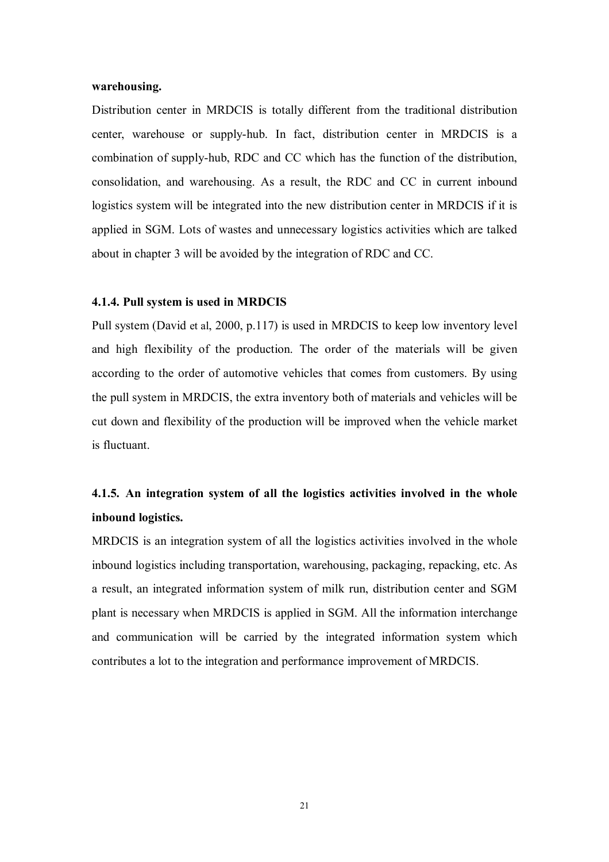#### **warehousing.**

Distribution center in MRDCIS is totally different from the traditional distribution center, warehouse or supply-hub. In fact, distribution center in MRDCIS is a combination of supply-hub, RDC and CC which has the function of the distribution, consolidation, and warehousing. As a result, the RDC and CC in current inbound logistics system will be integrated into the new distribution center in MRDCIS if it is applied in SGM. Lots of wastes and unnecessary logistics activities which are talked about in chapter 3 will be avoided by the integration of RDC and CC.

#### **4.1.4. Pull system is used in MRDCIS**

Pull system (David et al, 2000, p.117) is used in MRDCIS to keep low inventory level and high flexibility of the production. The order of the materials will be given according to the order of automotive vehicles that comes from customers. By using the pull system in MRDCIS, the extra inventory both of materials and vehicles will be cut down and flexibility of the production will be improved when the vehicle market is fluctuant.

# **4.1.5. An integration system of all the logistics activities involved in the whole inbound logistics.**

MRDCIS is an integration system of all the logistics activities involved in the whole inbound logistics including transportation, warehousing, packaging, repacking, etc. As a result, an integrated information system of milk run, distribution center and SGM plant is necessary when MRDCIS is applied in SGM. All the information interchange and communication will be carried by the integrated information system which contributes a lot to the integration and performance improvement of MRDCIS.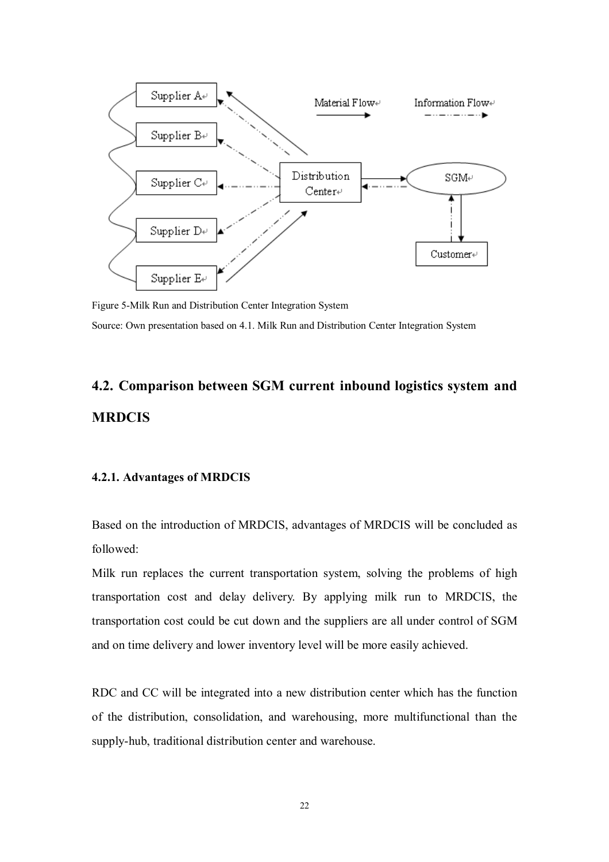

Figure 5-Milk Run and Distribution Center Integration System Source: Own presentation based on 4.1. Milk Run and Distribution Center Integration System

# **4.2. Comparison between SGM current inbound logistics system and MRDCIS**

#### **4.2.1. Advantages of MRDCIS**

Based on the introduction of MRDCIS, advantages of MRDCIS will be concluded as followed:

Milk run replaces the current transportation system, solving the problems of high transportation cost and delay delivery. By applying milk run to MRDCIS, the transportation cost could be cut down and the suppliers are all under control of SGM and on time delivery and lower inventory level will be more easily achieved.

RDC and CC will be integrated into a new distribution center which has the function of the distribution, consolidation, and warehousing, more multifunctional than the supply-hub, traditional distribution center and warehouse.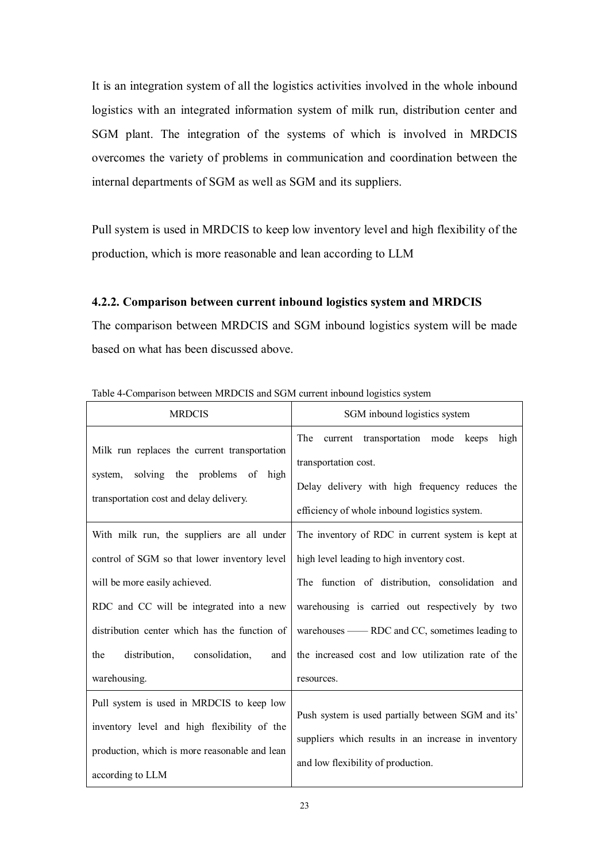It is an integration system of all the logistics activities involved in the whole inbound logistics with an integrated information system of milk run, distribution center and SGM plant. The integration of the systems of which is involved in MRDCIS overcomes the variety of problems in communication and coordination between the internal departments of SGM as well as SGM and its suppliers.

Pull system is used in MRDCIS to keep low inventory level and high flexibility of the production, which is more reasonable and lean according to LLM

#### **4.2.2. Comparison between current inbound logistics system and MRDCIS**

The comparison between MRDCIS and SGM inbound logistics system will be made based on what has been discussed above.

| <b>MRDCIS</b>                                                                                                                                                                                                                                                                             | SGM inbound logistics system                                                                                                                                                                                                                                                                                              |
|-------------------------------------------------------------------------------------------------------------------------------------------------------------------------------------------------------------------------------------------------------------------------------------------|---------------------------------------------------------------------------------------------------------------------------------------------------------------------------------------------------------------------------------------------------------------------------------------------------------------------------|
| Milk run replaces the current transportation<br>solving the problems<br>of high<br>system,<br>transportation cost and delay delivery.                                                                                                                                                     | The<br>current transportation mode<br>keeps<br>high<br>transportation cost.<br>Delay delivery with high frequency reduces the<br>efficiency of whole inbound logistics system.                                                                                                                                            |
| With milk run, the suppliers are all under<br>control of SGM so that lower inventory level<br>will be more easily achieved.<br>RDC and CC will be integrated into a new<br>distribution center which has the function of<br>distribution,<br>consolidation,<br>the<br>and<br>warehousing. | The inventory of RDC in current system is kept at<br>high level leading to high inventory cost.<br>The function of distribution, consolidation and<br>warehousing is carried out respectively by two<br>warehouses — RDC and CC, sometimes leading to<br>the increased cost and low utilization rate of the<br>resources. |
| Pull system is used in MRDCIS to keep low<br>inventory level and high flexibility of the<br>production, which is more reasonable and lean<br>according to LLM                                                                                                                             | Push system is used partially between SGM and its'<br>suppliers which results in an increase in inventory<br>and low flexibility of production.                                                                                                                                                                           |

Table 4-Comparison between MRDCIS and SGM current inbound logistics system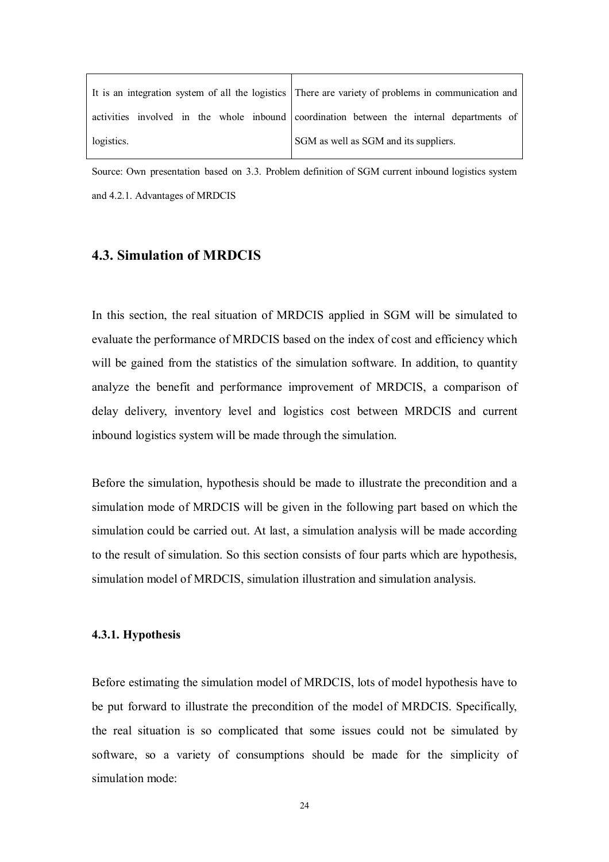|            | It is an integration system of all the logistics There are variety of problems in communication and |
|------------|-----------------------------------------------------------------------------------------------------|
|            | activities involved in the whole inbound coordination between the internal departments of           |
| logistics. | SGM as well as SGM and its suppliers.                                                               |

Source: Own presentation based on 3.3. Problem definition of SGM current inbound logistics system and 4.2.1. Advantages of MRDCIS

#### **4.3. Simulation of MRDCIS**

In this section, the real situation of MRDCIS applied in SGM will be simulated to evaluate the performance of MRDCIS based on the index of cost and efficiency which will be gained from the statistics of the simulation software. In addition, to quantity analyze the benefit and performance improvement of MRDCIS, a comparison of delay delivery, inventory level and logistics cost between MRDCIS and current inbound logistics system will be made through the simulation.

Before the simulation, hypothesis should be made to illustrate the precondition and a simulation mode of MRDCIS will be given in the following part based on which the simulation could be carried out. At last, a simulation analysis will be made according to the result of simulation. So this section consists of four parts which are hypothesis, simulation model of MRDCIS, simulation illustration and simulation analysis.

#### **4.3.1. Hypothesis**

Before estimating the simulation model of MRDCIS, lots of model hypothesis have to be put forward to illustrate the precondition of the model of MRDCIS. Specifically, the real situation is so complicated that some issues could not be simulated by software, so a variety of consumptions should be made for the simplicity of simulation mode: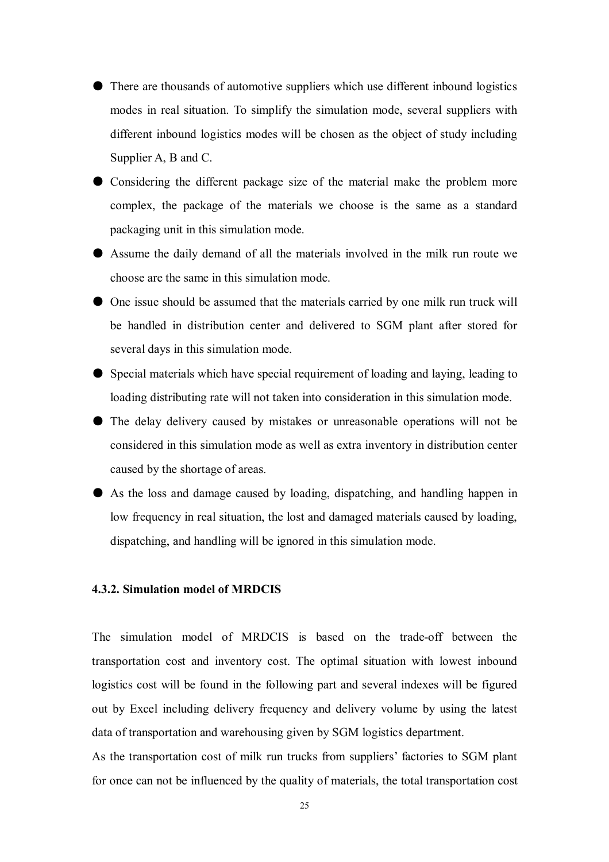- There are thousands of automotive suppliers which use different inbound logistics modes in real situation. To simplify the simulation mode, several suppliers with different inbound logistics modes will be chosen as the object of study including Supplier A, B and C.
- Considering the different package size of the material make the problem more complex, the package of the materials we choose is the same as a standard packaging unit in this simulation mode.
- Assume the daily demand of all the materials involved in the milk run route we choose are the same in this simulation mode.
- One issue should be assumed that the materials carried by one milk run truck will be handled in distribution center and delivered to SGM plant after stored for several days in this simulation mode.
- Special materials which have special requirement of loading and laying, leading to loading distributing rate will not taken into consideration in this simulation mode.
- The delay delivery caused by mistakes or unreasonable operations will not be considered in this simulation mode as well as extra inventory in distribution center caused by the shortage of areas.
- As the loss and damage caused by loading, dispatching, and handling happen in low frequency in real situation, the lost and damaged materials caused by loading, dispatching, and handling will be ignored in this simulation mode.

#### **4.3.2. Simulation model of MRDCIS**

The simulation model of MRDCIS is based on the trade-off between the transportation cost and inventory cost. The optimal situation with lowest inbound logistics cost will be found in the following part and several indexes will be figured out by Excel including delivery frequency and delivery volume by using the latest data of transportation and warehousing given by SGM logistics department.

As the transportation cost of milk run trucks from suppliers' factories to SGM plant for once can not be influenced by the quality of materials, the total transportation cost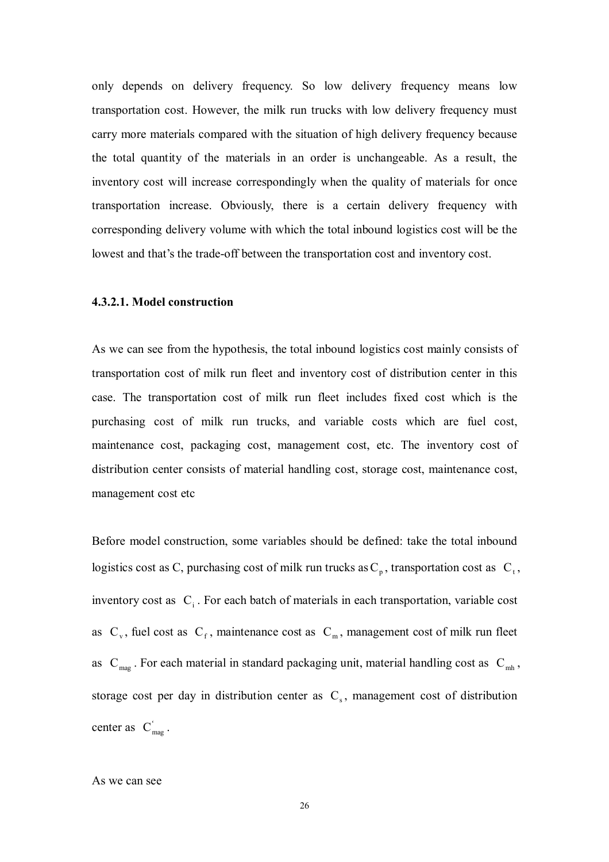only depends on delivery frequency. So low delivery frequency means low transportation cost. However, the milk run trucks with low delivery frequency must carry more materials compared with the situation of high delivery frequency because the total quantity of the materials in an order is unchangeable. As a result, the inventory cost will increase correspondingly when the quality of materials for once transportation increase. Obviously, there is a certain delivery frequency with corresponding delivery volume with which the total inbound logistics cost will be the lowest and that's the trade-off between the transportation cost and inventory cost.

#### **4.3.2.1. Model construction**

As we can see from the hypothesis, the total inbound logistics cost mainly consists of transportation cost of milk run fleet and inventory cost of distribution center in this case. The transportation cost of milk run fleet includes fixed cost which is the purchasing cost of milk run trucks, and variable costs which are fuel cost, maintenance cost, packaging cost, management cost, etc. The inventory cost of distribution center consists of material handling cost, storage cost, maintenance cost, management cost etc

Before model construction, some variables should be defined: take the total inbound logistics cost as C, purchasing cost of milk run trucks as  $C_p$ , transportation cost as  $C_t$ , inventory cost as  $C_i$ . For each batch of materials in each transportation, variable cost as  $C_v$ , fuel cost as  $C_f$ , maintenance cost as  $C_m$ , management cost of milk run fleet as  $C_{mag}$ . For each material in standard packaging unit, material handling cost as  $C_{mh}$ , storage cost per day in distribution center as  $C_s$ , management cost of distribution center as  $C_{\text{max}}'$ .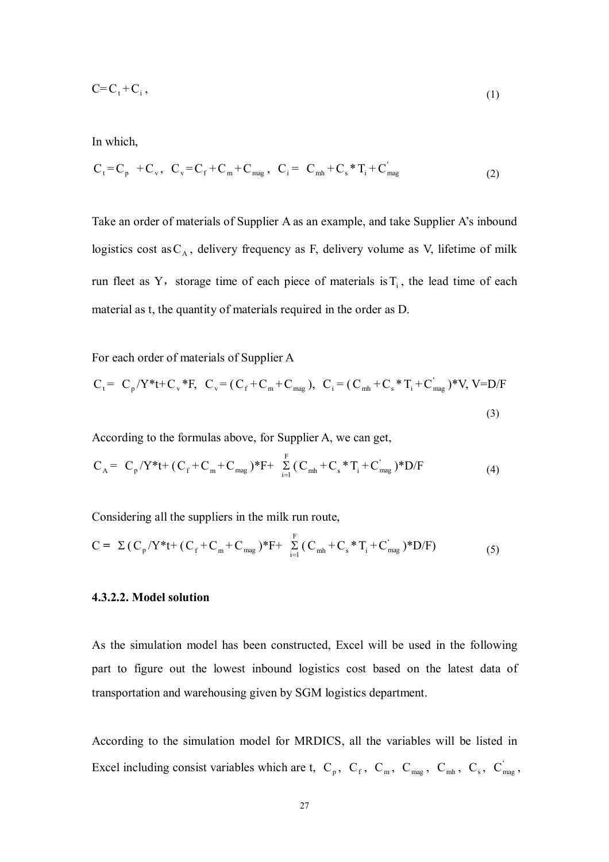$$
C = Ct + Ci, \tag{1}
$$

In which,

$$
C_{t} = C_{p} + C_{v}, \quad C_{v} = C_{f} + C_{m} + C_{mag}, \quad C_{i} = C_{mh} + C_{s} * T_{i} + C_{mag} \tag{2}
$$

Take an order of materials of Supplier A as an example, and take Supplier A's inbound logistics cost as  $C_A$ , delivery frequency as F, delivery volume as V, lifetime of milk run fleet as Y, storage time of each piece of materials is  $T_i$ , the lead time of each material as t, the quantity of materials required in the order as D.

For each order of materials of Supplier A

$$
C_{t} = C_{p}/Y^{*}t + C_{v}^{*}F, \ C_{v} = (C_{f} + C_{m} + C_{mag}), \ C_{i} = (C_{mh} + C_{s}^{*}T_{i} + C_{mag}^{*})^{*}V, V = D/F
$$
\n(3)

According to the formulas above, for Supplier A, we can get,

$$
C_A = C_p/Y^*t + (C_f + C_m + C_{mag})^*F + \sum_{i=1}^F (C_{mh} + C_s^*T_i + C_{mag}^*)^*D/F
$$
 (4)

Considering all the suppliers in the milk run route,

$$
C = \Sigma (C_p/Y^*t + (C_f + C_m + C_{mag})^*F + \sum_{i=1}^{F} (C_{mh} + C_s^*T_i + C_{mag}^*)^*D/F)
$$
(5)

#### **4.3.2.2. Model solution**

As the simulation model has been constructed, Excel will be used in the following part to figure out the lowest inbound logistics cost based on the latest data of transportation and warehousing given by SGM logistics department.

According to the simulation model for MRDICS, all the variables will be listed in Excel including consist variables which are t,  $C_p$ ,  $C_f$ ,  $C_m$ ,  $C_{mag}$ ,  $C_{m4}$ ,  $C_s$ ,  $C_{mag}$ ,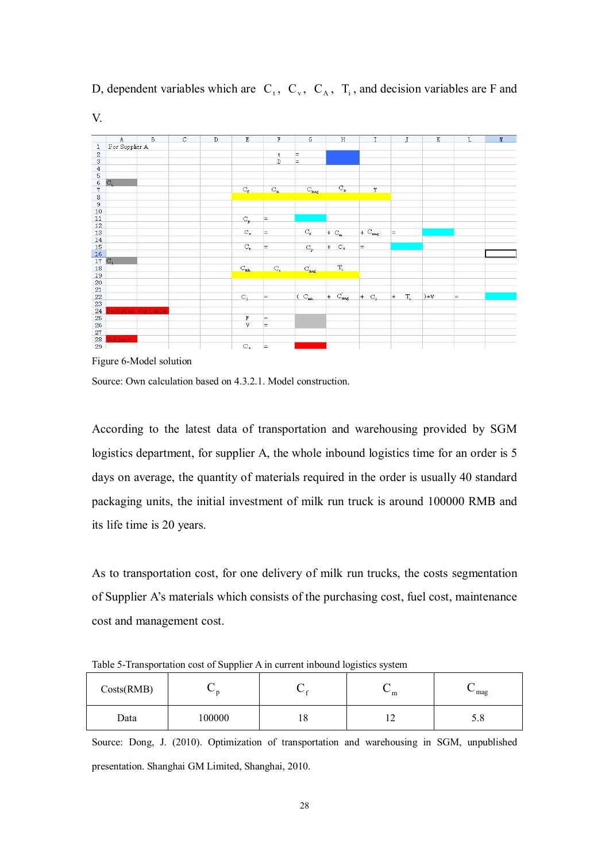

D, dependent variables which are  $C_t$ ,  $C_v$ ,  $C_A$ ,  $T_i$ , and decision variables are F and V.

Figure 6-Model solution

Source: Own calculation based on 4.3.2.1. Model construction.

According to the latest data of transportation and warehousing provided by SGM logistics department, for supplier A, the whole inbound logistics time for an order is 5 days on average, the quantity of materials required in the order is usually 40 standard packaging units, the initial investment of milk run truck is around 100000 RMB and its life time is 20 years.

As to transportation cost, for one delivery of milk run trucks, the costs segmentation of Supplier A's materials which consists of the purchasing cost, fuel cost, maintenance cost and management cost.

| Costs(RMB) |        | $\sim$<br>◡ | ั<br>m     | $\sim$ mag |
|------------|--------|-------------|------------|------------|
| Data       | 100000 | 10          | <b>I</b> 4 | 3.0        |

Table 5-Transportation cost of Supplier A in current inbound logistics system

Source: Dong, J. (2010). Optimization of transportation and warehousing in SGM, unpublished presentation. Shanghai GM Limited, Shanghai, 2010.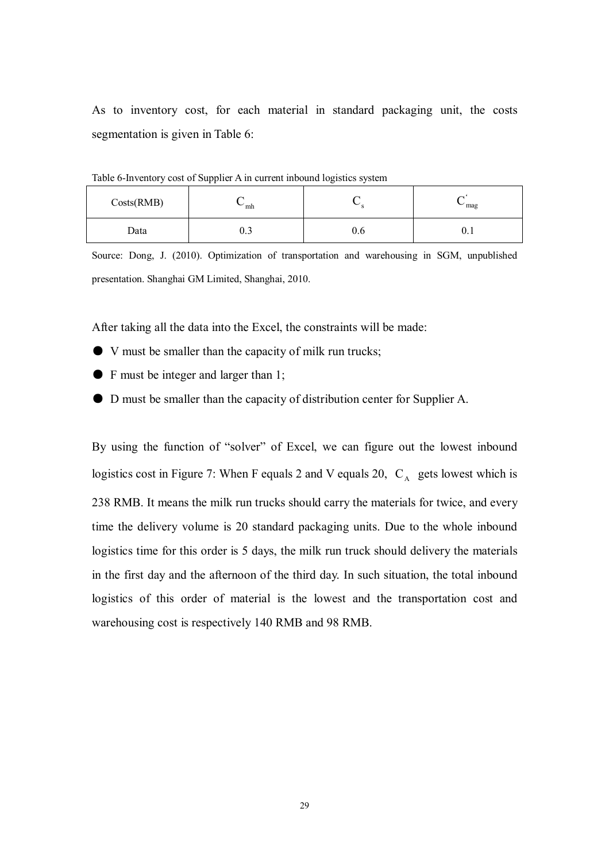As to inventory cost, for each material in standard packaging unit, the costs segmentation is given in Table 6:

| Costs(RMB) | $\sim$ mh |     | mag<br>ั |
|------------|-----------|-----|----------|
| Data       | U.J       | v.o | v. L     |

Table 6-Inventory cost of Supplier A in current inbound logistics system

Source: Dong, J. (2010). Optimization of transportation and warehousing in SGM, unpublished presentation. Shanghai GM Limited, Shanghai, 2010.

After taking all the data into the Excel, the constraints will be made:

- V must be smaller than the capacity of milk run trucks;
- F must be integer and larger than 1;
- D must be smaller than the capacity of distribution center for Supplier A.

By using the function of "solver" of Excel, we can figure out the lowest inbound logistics cost in Figure 7: When F equals 2 and V equals 20,  $C_A$  gets lowest which is 238 RMB. It means the milk run trucks should carry the materials for twice, and every time the delivery volume is 20 standard packaging units. Due to the whole inbound logistics time for this order is 5 days, the milk run truck should delivery the materials in the first day and the afternoon of the third day. In such situation, the total inbound logistics of this order of material is the lowest and the transportation cost and warehousing cost is respectively 140 RMB and 98 RMB.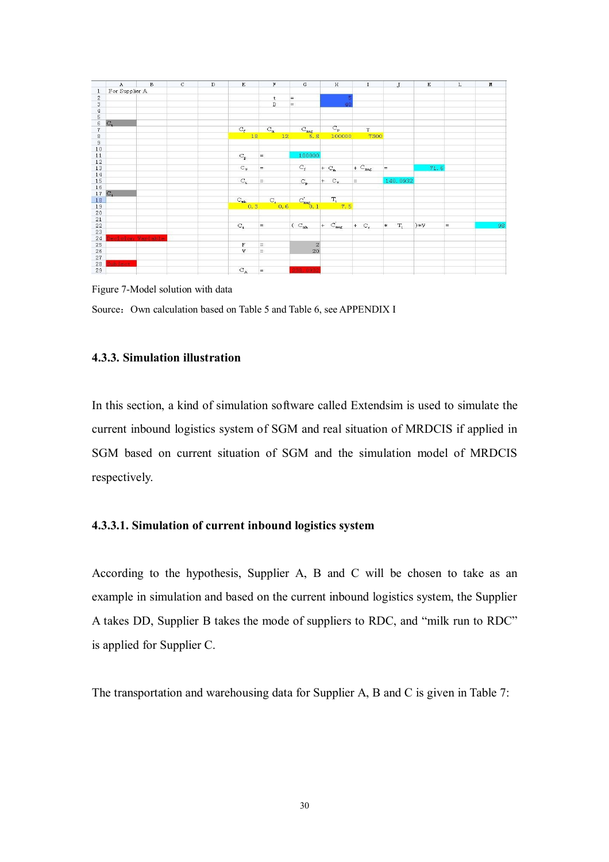

Figure 7-Model solution with data Source: Own calculation based on Table 5 and Table 6, see APPENDIX I

#### **4.3.3. Simulation illustration**

In this section, a kind of simulation software called Extendsim is used to simulate the current inbound logistics system of SGM and real situation of MRDCIS if applied in SGM based on current situation of SGM and the simulation model of MRDCIS respectively.

#### **4.3.3.1. Simulation of current inbound logistics system**

According to the hypothesis, Supplier A, B and C will be chosen to take as an example in simulation and based on the current inbound logistics system, the Supplier A takes DD, Supplier B takes the mode of suppliers to RDC, and "milk run to RDC" is applied for Supplier C.

The transportation and warehousing data for Supplier A, B and C is given in Table 7: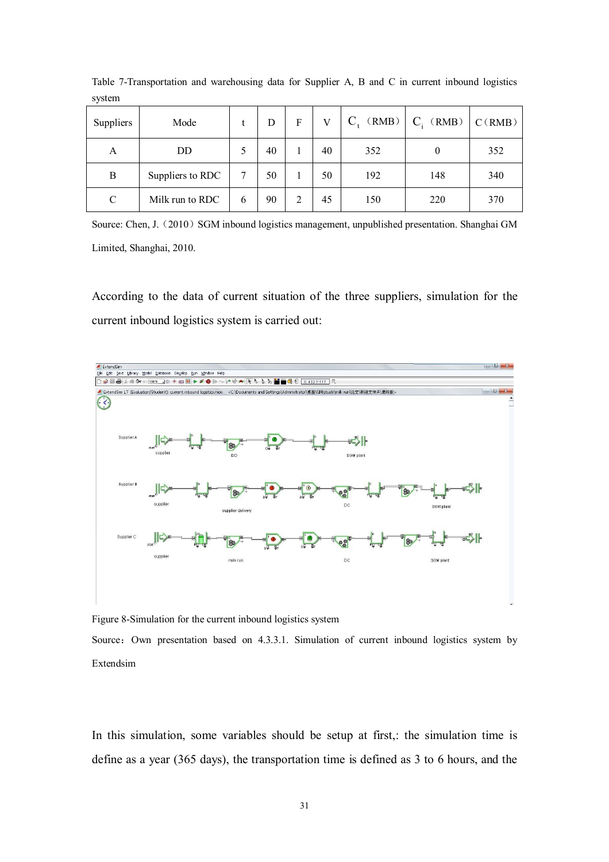| <b>Suppliers</b> | Mode             |   | D  | F | V  | $C_{t}$ (RMB) | $C_i$ (RMB) | C(RMB) |
|------------------|------------------|---|----|---|----|---------------|-------------|--------|
| A                | DD               |   | 40 |   | 40 | 352           | 0           | 352    |
| B                | Suppliers to RDC |   | 50 |   | 50 | 192           | 148         | 340    |
| C                | Milk run to RDC  | 6 | 90 | 2 | 45 | 150           | 220         | 370    |

Table 7-Transportation and warehousing data for Supplier A, B and C in current inbound logistics system

Source: Chen, J. (2010) SGM inbound logistics management, unpublished presentation. Shanghai GM Limited, Shanghai, 2010.

According to the data of current situation of the three suppliers, simulation for the current inbound logistics system is carried out:



Figure 8-Simulation for the current inbound logistics system

Source: Own presentation based on 4.3.3.1. Simulation of current inbound logistics system by Extendsim

In this simulation, some variables should be setup at first,: the simulation time is define as a year (365 days), the transportation time is defined as 3 to 6 hours, and the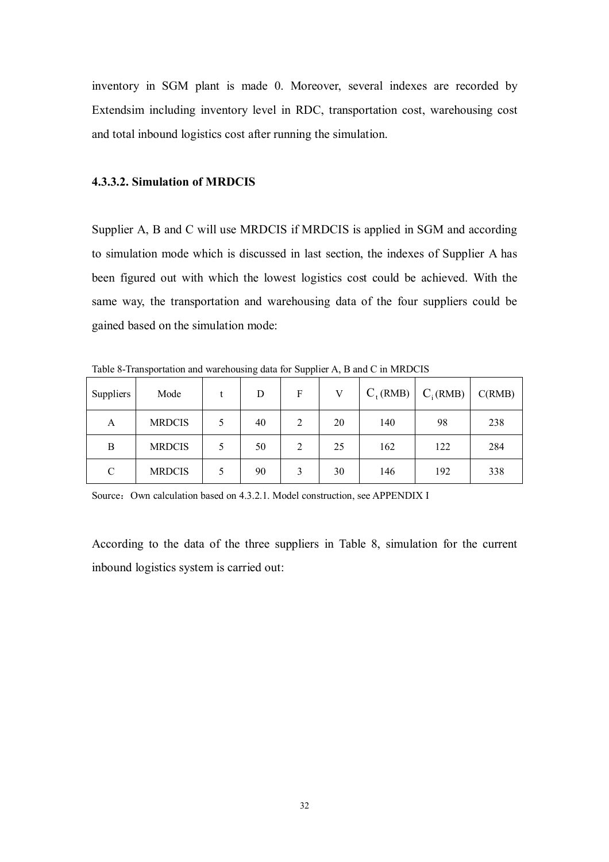inventory in SGM plant is made 0. Moreover, several indexes are recorded by Extendsim including inventory level in RDC, transportation cost, warehousing cost and total inbound logistics cost after running the simulation.

#### **4.3.3.2. Simulation of MRDCIS**

Supplier A, B and C will use MRDCIS if MRDCIS is applied in SGM and according to simulation mode which is discussed in last section, the indexes of Supplier A has been figured out with which the lowest logistics cost could be achieved. With the same way, the transportation and warehousing data of the four suppliers could be gained based on the simulation mode:

Table 8-Transportation and warehousing data for Supplier A, B and C in MRDCIS

| Suppliers | Mode          | D  | F |    | $C_{\text{t}}(\text{RMB})$ | $C_i(RMB)$ | C(RMB) |
|-----------|---------------|----|---|----|----------------------------|------------|--------|
| А         | <b>MRDCIS</b> | 40 | 2 | 20 | 140                        | 98         | 238    |
| B         | <b>MRDCIS</b> | 50 | 2 | 25 | 162                        | 122        | 284    |
| C         | <b>MRDCIS</b> | 90 |   | 30 | 146                        | 192        | 338    |

Source: Own calculation based on 4.3.2.1. Model construction, see APPENDIX I

According to the data of the three suppliers in Table 8, simulation for the current inbound logistics system is carried out: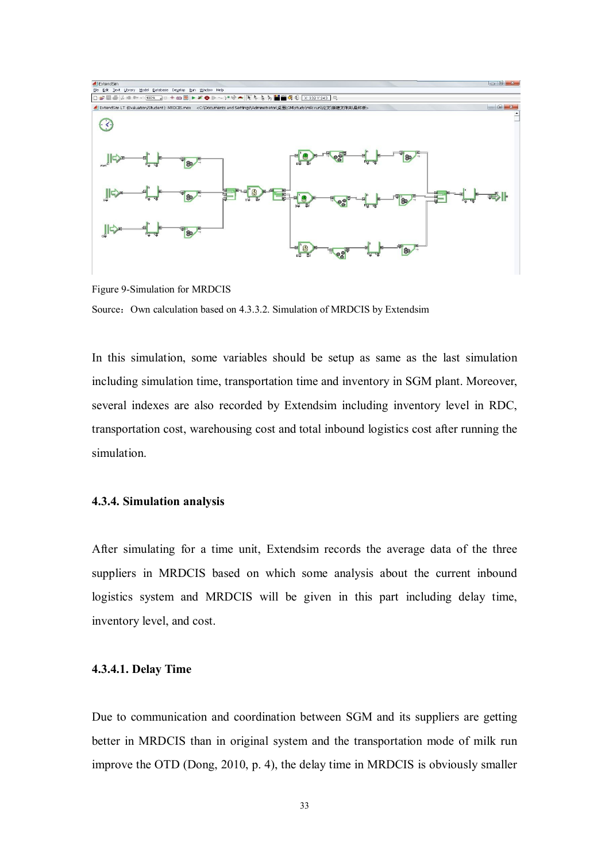

Figure 9-Simulation for MRDCIS Source: Own calculation based on 4.3.3.2. Simulation of MRDCIS by Extendsim

In this simulation, some variables should be setup as same as the last simulation including simulation time, transportation time and inventory in SGM plant. Moreover, several indexes are also recorded by Extendsim including inventory level in RDC, transportation cost, warehousing cost and total inbound logistics cost after running the simulation.

#### **4.3.4. Simulation analysis**

After simulating for a time unit, Extendsim records the average data of the three suppliers in MRDCIS based on which some analysis about the current inbound logistics system and MRDCIS will be given in this part including delay time, inventory level, and cost.

#### **4.3.4.1. Delay Time**

Due to communication and coordination between SGM and its suppliers are getting better in MRDCIS than in original system and the transportation mode of milk run improve the OTD (Dong, 2010, p. 4), the delay time in MRDCIS is obviously smaller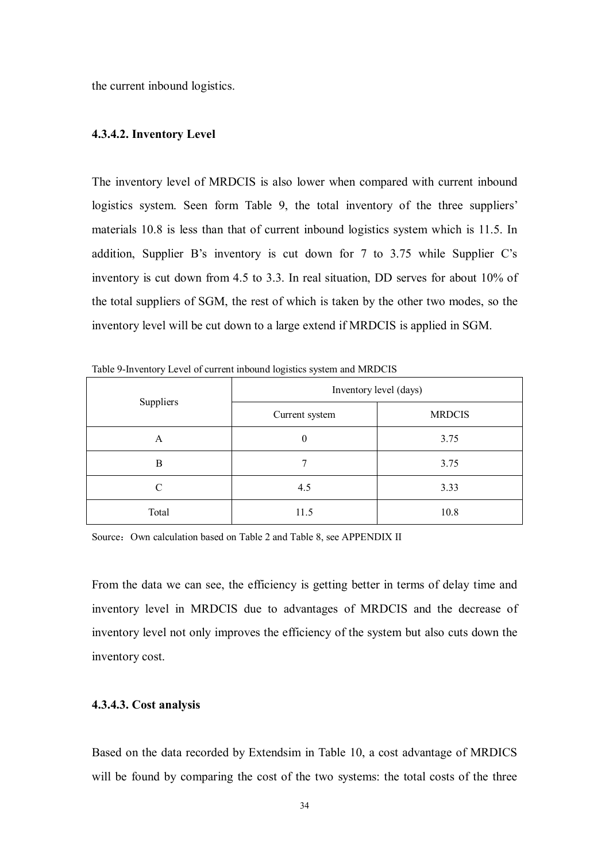the current inbound logistics.

#### **4.3.4.2. Inventory Level**

The inventory level of MRDCIS is also lower when compared with current inbound logistics system. Seen form Table 9, the total inventory of the three suppliers' materials 10.8 is less than that of current inbound logistics system which is 11.5. In addition, Supplier B's inventory is cut down for 7 to 3.75 while Supplier C's inventory is cut down from 4.5 to 3.3. In real situation, DD serves for about 10% of the total suppliers of SGM, the rest of which is taken by the other two modes, so the inventory level will be cut down to a large extend if MRDCIS is applied in SGM.

| were a morning per er early mountain region to opport and three cap |                        |               |  |  |  |  |  |  |  |
|---------------------------------------------------------------------|------------------------|---------------|--|--|--|--|--|--|--|
|                                                                     | Inventory level (days) |               |  |  |  |  |  |  |  |
| Suppliers                                                           | Current system         | <b>MRDCIS</b> |  |  |  |  |  |  |  |
| A                                                                   | $\boldsymbol{0}$       | 3.75          |  |  |  |  |  |  |  |
| B                                                                   |                        | 3.75          |  |  |  |  |  |  |  |
| C                                                                   | 4.5                    | 3.33          |  |  |  |  |  |  |  |
| Total                                                               | 11.5                   | 10.8          |  |  |  |  |  |  |  |

Table 9-Inventory Level of current inbound logistics system and MRDCIS

Source: Own calculation based on Table 2 and Table 8, see APPENDIX II

From the data we can see, the efficiency is getting better in terms of delay time and inventory level in MRDCIS due to advantages of MRDCIS and the decrease of inventory level not only improves the efficiency of the system but also cuts down the inventory cost.

#### **4.3.4.3. Cost analysis**

Based on the data recorded by Extendsim in Table 10, a cost advantage of MRDICS will be found by comparing the cost of the two systems: the total costs of the three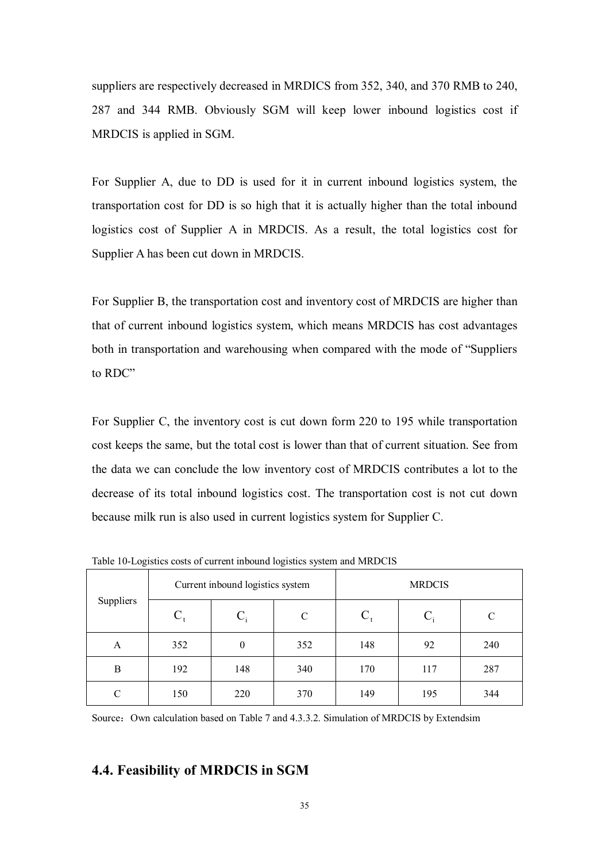suppliers are respectively decreased in MRDICS from 352, 340, and 370 RMB to 240, 287 and 344 RMB. Obviously SGM will keep lower inbound logistics cost if MRDCIS is applied in SGM.

For Supplier A, due to DD is used for it in current inbound logistics system, the transportation cost for DD is so high that it is actually higher than the total inbound logistics cost of Supplier A in MRDCIS. As a result, the total logistics cost for Supplier A has been cut down in MRDCIS.

For Supplier B, the transportation cost and inventory cost of MRDCIS are higher than that of current inbound logistics system, which means MRDCIS has cost advantages both in transportation and warehousing when compared with the mode of "Suppliers to RDC"

For Supplier C, the inventory cost is cut down form 220 to 195 while transportation cost keeps the same, but the total cost is lower than that of current situation. See from the data we can conclude the low inventory cost of MRDCIS contributes a lot to the decrease of its total inbound logistics cost. The transportation cost is not cut down because milk run is also used in current logistics system for Supplier C.

| Suppliers<br>A<br>B<br>C |       | Current inbound logistics system |              | <b>MRDCIS</b> |       |     |  |
|--------------------------|-------|----------------------------------|--------------|---------------|-------|-----|--|
|                          | $C_t$ | $C_i$                            | $\mathsf{C}$ |               | $C_i$ | C   |  |
|                          | 352   | $\theta$                         | 352          | 148           | 92    | 240 |  |
|                          | 192   | 148                              | 340          | 170           | 117   | 287 |  |
|                          | 150   | 220                              | 370          | 149           | 195   | 344 |  |

Table 10-Logistics costs of current inbound logistics system and MRDCIS

Source: Own calculation based on Table 7 and 4.3.3.2. Simulation of MRDCIS by Extendsim

#### **4.4. Feasibility of MRDCIS in SGM**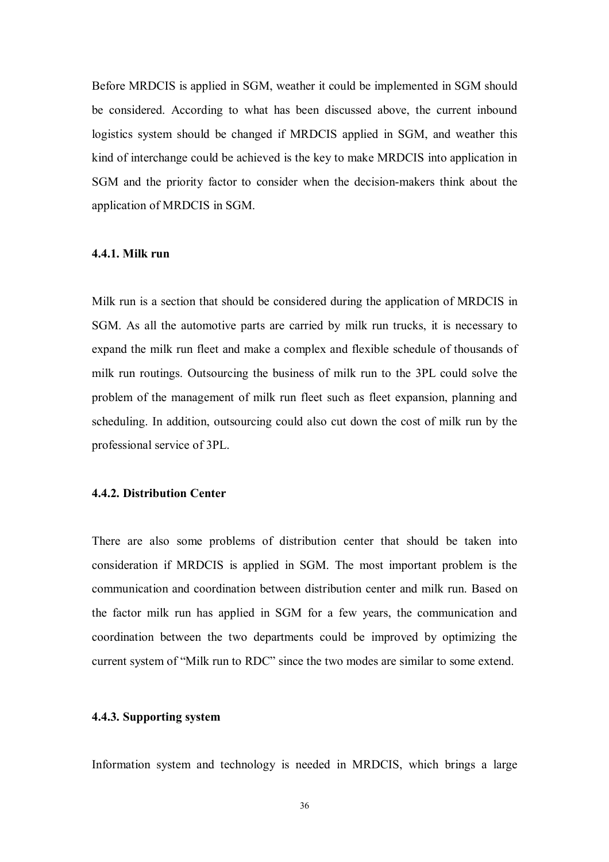Before MRDCIS is applied in SGM, weather it could be implemented in SGM should be considered. According to what has been discussed above, the current inbound logistics system should be changed if MRDCIS applied in SGM, and weather this kind of interchange could be achieved is the key to make MRDCIS into application in SGM and the priority factor to consider when the decision-makers think about the application of MRDCIS in SGM.

#### **4.4.1. Milk run**

Milk run is a section that should be considered during the application of MRDCIS in SGM. As all the automotive parts are carried by milk run trucks, it is necessary to expand the milk run fleet and make a complex and flexible schedule of thousands of milk run routings. Outsourcing the business of milk run to the 3PL could solve the problem of the management of milk run fleet such as fleet expansion, planning and scheduling. In addition, outsourcing could also cut down the cost of milk run by the professional service of 3PL.

#### **4.4.2. Distribution Center**

There are also some problems of distribution center that should be taken into consideration if MRDCIS is applied in SGM. The most important problem is the communication and coordination between distribution center and milk run. Based on the factor milk run has applied in SGM for a few years, the communication and coordination between the two departments could be improved by optimizing the current system of "Milk run to RDC" since the two modes are similar to some extend.

#### **4.4.3. Supporting system**

Information system and technology is needed in MRDCIS, which brings a large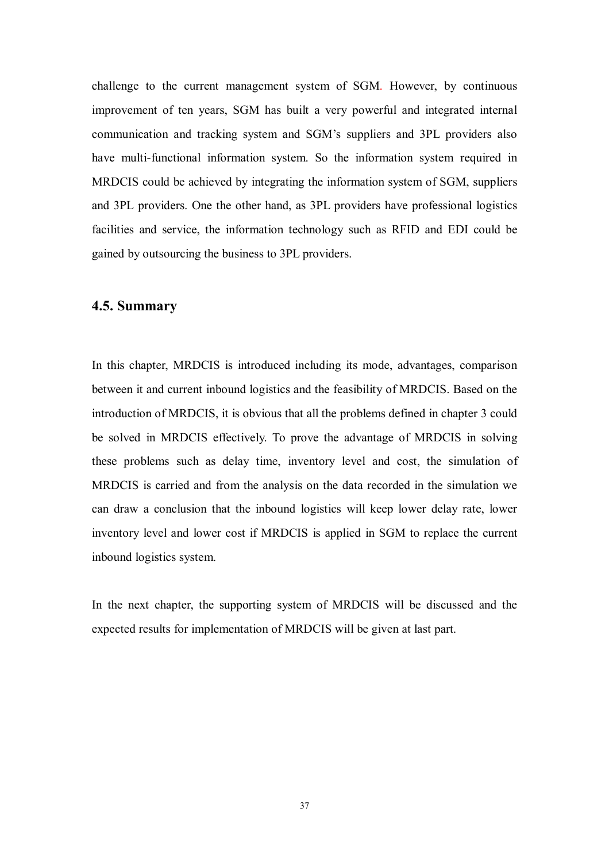challenge to the current management system of SGM. However, by continuous improvement of ten years, SGM has built a very powerful and integrated internal communication and tracking system and SGM's suppliers and 3PL providers also have multi-functional information system. So the information system required in MRDCIS could be achieved by integrating the information system of SGM, suppliers and 3PL providers. One the other hand, as 3PL providers have professional logistics facilities and service, the information technology such as RFID and EDI could be gained by outsourcing the business to 3PL providers.

#### **4.5. Summary**

In this chapter, MRDCIS is introduced including its mode, advantages, comparison between it and current inbound logistics and the feasibility of MRDCIS. Based on the introduction of MRDCIS, it is obvious that all the problems defined in chapter 3 could be solved in MRDCIS effectively. To prove the advantage of MRDCIS in solving these problems such as delay time, inventory level and cost, the simulation of MRDCIS is carried and from the analysis on the data recorded in the simulation we can draw a conclusion that the inbound logistics will keep lower delay rate, lower inventory level and lower cost if MRDCIS is applied in SGM to replace the current inbound logistics system.

In the next chapter, the supporting system of MRDCIS will be discussed and the expected results for implementation of MRDCIS will be given at last part.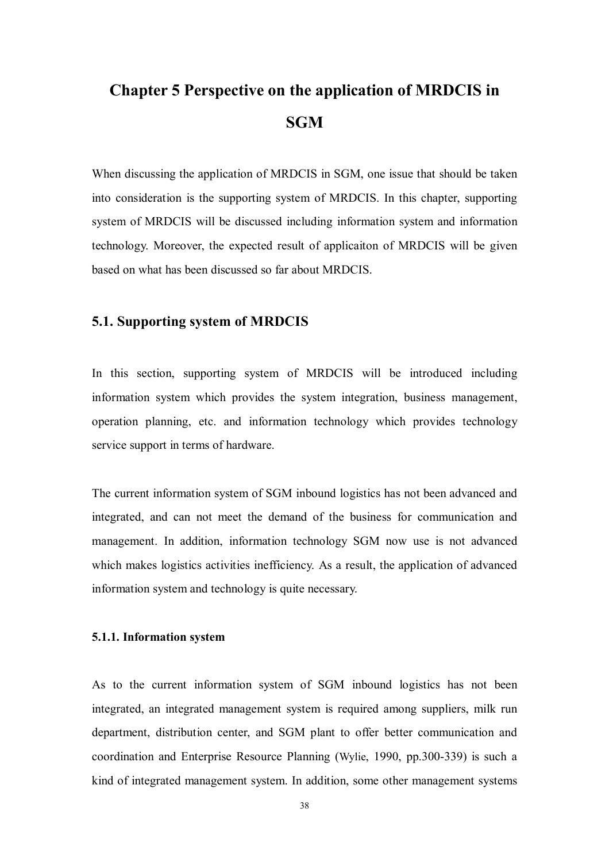# **Chapter 5 Perspective on the application of MRDCIS in SGM**

When discussing the application of MRDCIS in SGM, one issue that should be taken into consideration is the supporting system of MRDCIS. In this chapter, supporting system of MRDCIS will be discussed including information system and information technology. Moreover, the expected result of applicaiton of MRDCIS will be given based on what has been discussed so far about MRDCIS.

#### **5.1. Supporting system of MRDCIS**

In this section, supporting system of MRDCIS will be introduced including information system which provides the system integration, business management, operation planning, etc. and information technology which provides technology service support in terms of hardware.

The current information system of SGM inbound logistics has not been advanced and integrated, and can not meet the demand of the business for communication and management. In addition, information technology SGM now use is not advanced which makes logistics activities inefficiency. As a result, the application of advanced information system and technology is quite necessary.

#### **5.1.1. Information system**

As to the current information system of SGM inbound logistics has not been integrated, an integrated management system is required among suppliers, milk run department, distribution center, and SGM plant to offer better communication and coordination and Enterprise Resource Planning (Wylie, 1990, pp.300-339) is such a kind of integrated management system. In addition, some other management systems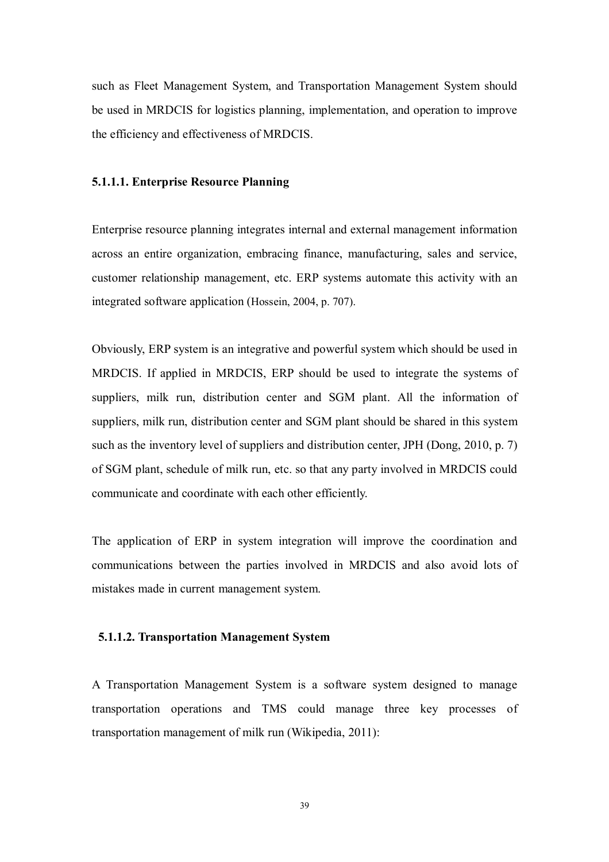such as Fleet Management System, and Transportation Management System should be used in MRDCIS for logistics planning, implementation, and operation to improve the efficiency and effectiveness of MRDCIS.

#### **5.1.1.1. Enterprise Resource Planning**

Enterprise resource planning integrates internal and external management information across an entire organization, embracing finance, manufacturing, sales and service, customer relationship management, etc. ERP systems automate this activity with an integrated software application (Hossein, 2004, p. 707).

Obviously, ERP system is an integrative and powerful system which should be used in MRDCIS. If applied in MRDCIS, ERP should be used to integrate the systems of suppliers, milk run, distribution center and SGM plant. All the information of suppliers, milk run, distribution center and SGM plant should be shared in this system such as the inventory level of suppliers and distribution center, JPH (Dong, 2010, p. 7) of SGM plant, schedule of milk run, etc. so that any party involved in MRDCIS could communicate and coordinate with each other efficiently.

The application of ERP in system integration will improve the coordination and communications between the parties involved in MRDCIS and also avoid lots of mistakes made in current management system.

#### **5.1.1.2. Transportation Management System**

A Transportation Management System is a software system designed to manage transportation operations and TMS could manage three key processes of transportation management of milk run (Wikipedia, 2011):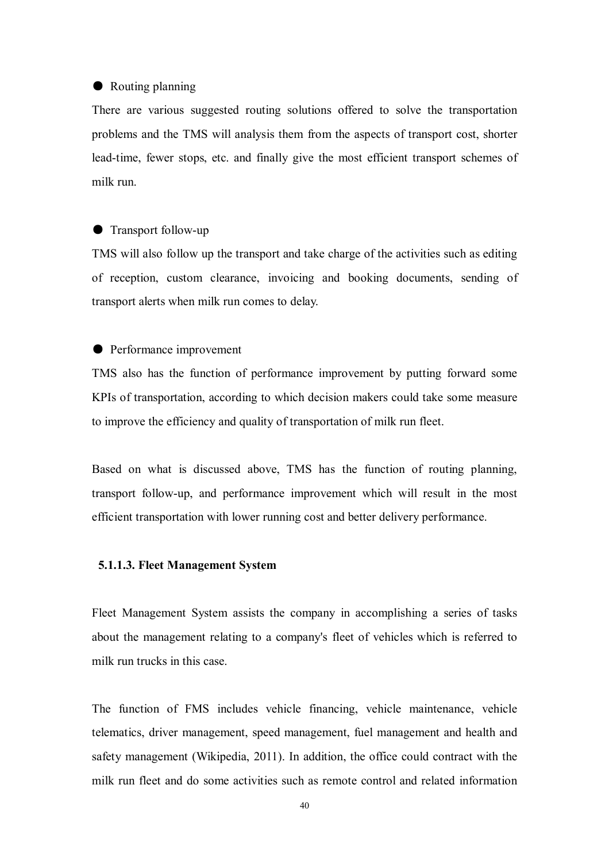#### ● Routing planning

There are various suggested routing solutions offered to solve the transportation problems and the TMS will analysis them from the aspects of transport cost, shorter lead-time, fewer stops, etc. and finally give the most efficient transport schemes of milk run.

#### ● Transport follow-up

TMS will also follow up the transport and take charge of the activities such as editing of reception, custom clearance, invoicing and booking documents, sending of transport alerts when milk run comes to delay.

#### ● Performance improvement

TMS also has the function of performance improvement by putting forward some KPIs of transportation, according to which decision makers could take some measure to improve the efficiency and quality of transportation of milk run fleet.

Based on what is discussed above, TMS has the function of routing planning, transport follow-up, and performance improvement which will result in the most efficient transportation with lower running cost and better delivery performance.

#### **5.1.1.3. Fleet Management System**

Fleet Management System assists the company in accomplishing a series of tasks about the management relating to a company's fleet of vehicles which is referred to milk run trucks in this case.

The function of FMS includes vehicle financing, vehicle maintenance, vehicle telematics, driver management, speed management, fuel management and health and safety management (Wikipedia, 2011). In addition, the office could contract with the milk run fleet and do some activities such as remote control and related information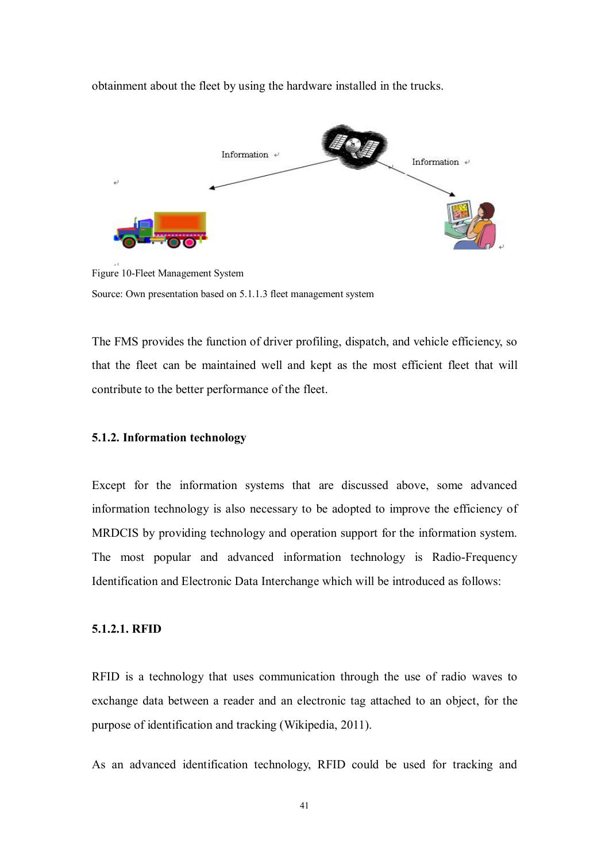obtainment about the fleet by using the hardware installed in the trucks.



Figure 10-Fleet Management System Source: Own presentation based on 5.1.1.3 fleet management system

The FMS provides the function of driver profiling, dispatch, and vehicle efficiency, so that the fleet can be maintained well and kept as the most efficient fleet that will contribute to the better performance of the fleet.

#### **5.1.2. Information technology**

Except for the information systems that are discussed above, some advanced information technology is also necessary to be adopted to improve the efficiency of MRDCIS by providing technology and operation support for the information system. The most popular and advanced information technology is Radio-Frequency Identification and Electronic Data Interchange which will be introduced as follows:

#### **5.1.2.1. RFID**

RFID is a technology that uses communication through the use of radio waves to exchange data between a reader and an electronic tag attached to an object, for the purpose of identification and tracking (Wikipedia, 2011).

As an advanced identification technology, RFID could be used for tracking and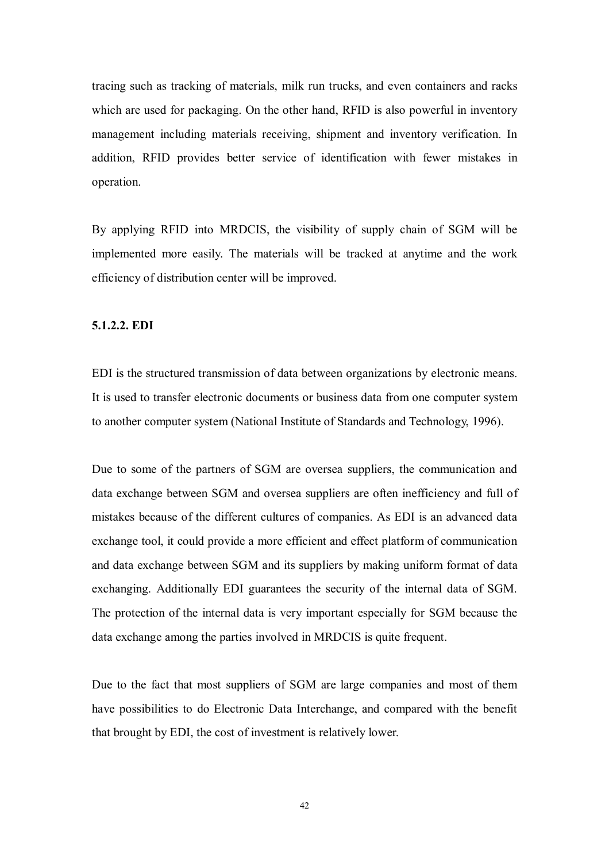tracing such as tracking of materials, milk run trucks, and even containers and racks which are used for packaging. On the other hand, RFID is also powerful in inventory management including materials receiving, shipment and inventory verification. In addition, RFID provides better service of identification with fewer mistakes in operation.

By applying RFID into MRDCIS, the visibility of supply chain of SGM will be implemented more easily. The materials will be tracked at anytime and the work efficiency of distribution center will be improved.

#### **5.1.2.2. EDI**

EDI is the structured transmission of data between organizations by electronic means. It is used to transfer electronic documents or business data from one computer system to another computer system (National Institute of Standards and Technology, 1996).

Due to some of the partners of SGM are oversea suppliers, the communication and data exchange between SGM and oversea suppliers are often inefficiency and full of mistakes because of the different cultures of companies. As EDI is an advanced data exchange tool, it could provide a more efficient and effect platform of communication and data exchange between SGM and its suppliers by making uniform format of data exchanging. Additionally EDI guarantees the security of the internal data of SGM. The protection of the internal data is very important especially for SGM because the data exchange among the parties involved in MRDCIS is quite frequent.

Due to the fact that most suppliers of SGM are large companies and most of them have possibilities to do Electronic Data Interchange, and compared with the benefit that brought by EDI, the cost of investment is relatively lower.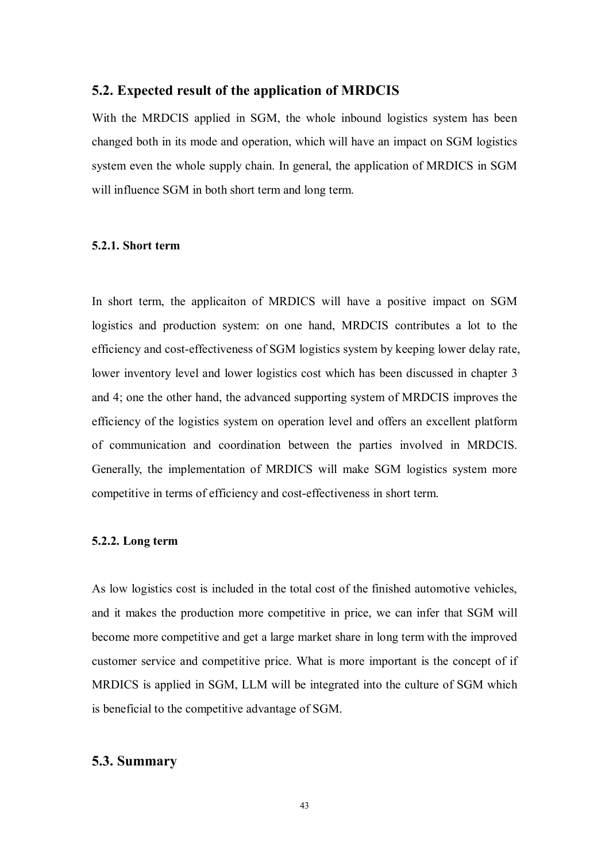#### **5.2. Expected result of the application of MRDCIS**

With the MRDCIS applied in SGM, the whole inbound logistics system has been changed both in its mode and operation, which will have an impact on SGM logistics system even the whole supply chain. In general, the application of MRDICS in SGM will influence SGM in both short term and long term.

#### **5.2.1. Short term**

In short term, the applicaiton of MRDICS will have a positive impact on SGM logistics and production system: on one hand, MRDCIS contributes a lot to the efficiency and cost-effectiveness of SGM logistics system by keeping lower delay rate, lower inventory level and lower logistics cost which has been discussed in chapter 3 and 4; one the other hand, the advanced supporting system of MRDCIS improves the efficiency of the logistics system on operation level and offers an excellent platform of communication and coordination between the parties involved in MRDCIS. Generally, the implementation of MRDICS will make SGM logistics system more competitive in terms of efficiency and cost-effectiveness in short term.

#### **5.2.2. Long term**

As low logistics cost is included in the total cost of the finished automotive vehicles, and it makes the production more competitive in price, we can infer that SGM will become more competitive and get a large market share in long term with the improved customer service and competitive price. What is more important is the concept of if MRDICS is applied in SGM, LLM will be integrated into the culture of SGM which is beneficial to the competitive advantage of SGM.

#### **5.3. Summary**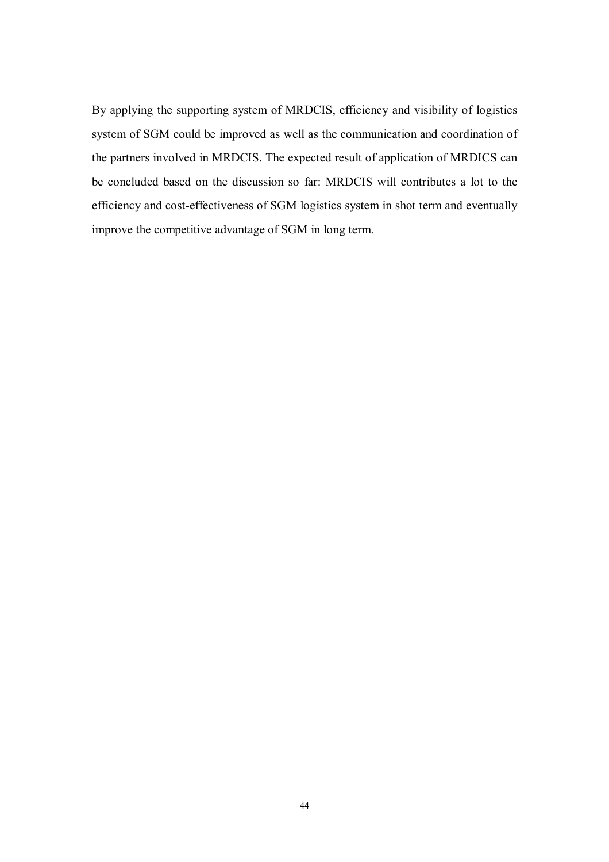By applying the supporting system of MRDCIS, efficiency and visibility of logistics system of SGM could be improved as well as the communication and coordination of the partners involved in MRDCIS. The expected result of application of MRDICS can be concluded based on the discussion so far: MRDCIS will contributes a lot to the efficiency and cost-effectiveness of SGM logistics system in shot term and eventually improve the competitive advantage of SGM in long term.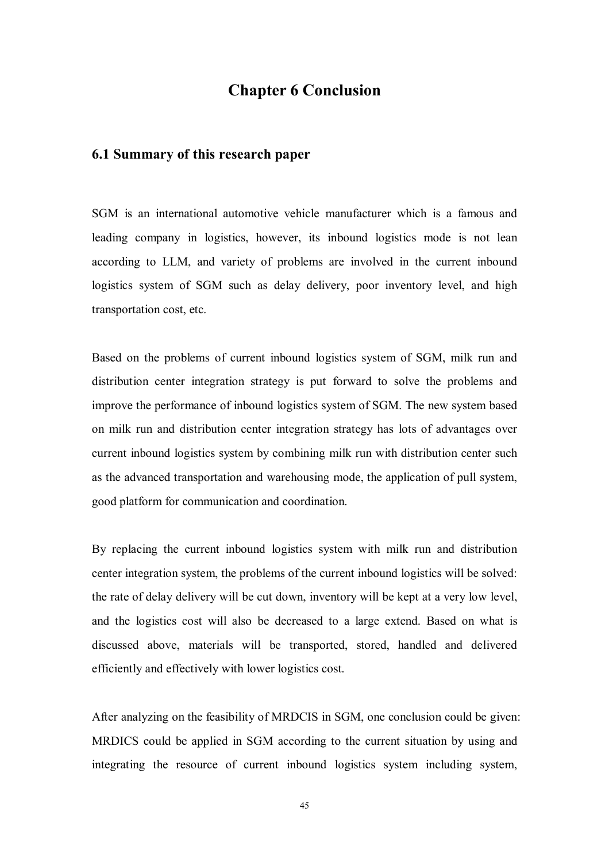### **Chapter 6 Conclusion**

### **6.1 Summary of this research paper**

SGM is an international automotive vehicle manufacturer which is a famous and leading company in logistics, however, its inbound logistics mode is not lean according to LLM, and variety of problems are involved in the current inbound logistics system of SGM such as delay delivery, poor inventory level, and high transportation cost, etc.

Based on the problems of current inbound logistics system of SGM, milk run and distribution center integration strategy is put forward to solve the problems and improve the performance of inbound logistics system of SGM. The new system based on milk run and distribution center integration strategy has lots of advantages over current inbound logistics system by combining milk run with distribution center such as the advanced transportation and warehousing mode, the application of pull system, good platform for communication and coordination.

By replacing the current inbound logistics system with milk run and distribution center integration system, the problems of the current inbound logistics will be solved: the rate of delay delivery will be cut down, inventory will be kept at a very low level, and the logistics cost will also be decreased to a large extend. Based on what is discussed above, materials will be transported, stored, handled and delivered efficiently and effectively with lower logistics cost.

After analyzing on the feasibility of MRDCIS in SGM, one conclusion could be given: MRDICS could be applied in SGM according to the current situation by using and integrating the resource of current inbound logistics system including system,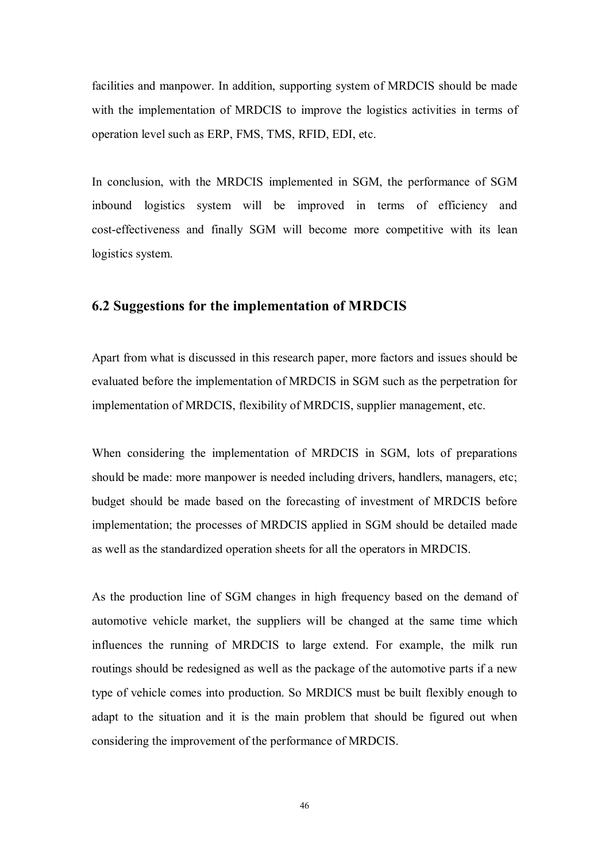facilities and manpower. In addition, supporting system of MRDCIS should be made with the implementation of MRDCIS to improve the logistics activities in terms of operation level such as ERP, FMS, TMS, RFID, EDI, etc.

In conclusion, with the MRDCIS implemented in SGM, the performance of SGM inbound logistics system will be improved in terms of efficiency and cost-effectiveness and finally SGM will become more competitive with its lean logistics system.

#### **6.2 Suggestions for the implementation of MRDCIS**

Apart from what is discussed in this research paper, more factors and issues should be evaluated before the implementation of MRDCIS in SGM such as the perpetration for implementation of MRDCIS, flexibility of MRDCIS, supplier management, etc.

When considering the implementation of MRDCIS in SGM, lots of preparations should be made: more manpower is needed including drivers, handlers, managers, etc; budget should be made based on the forecasting of investment of MRDCIS before implementation; the processes of MRDCIS applied in SGM should be detailed made as well as the standardized operation sheets for all the operators in MRDCIS.

As the production line of SGM changes in high frequency based on the demand of automotive vehicle market, the suppliers will be changed at the same time which influences the running of MRDCIS to large extend. For example, the milk run routings should be redesigned as well as the package of the automotive parts if a new type of vehicle comes into production. So MRDICS must be built flexibly enough to adapt to the situation and it is the main problem that should be figured out when considering the improvement of the performance of MRDCIS.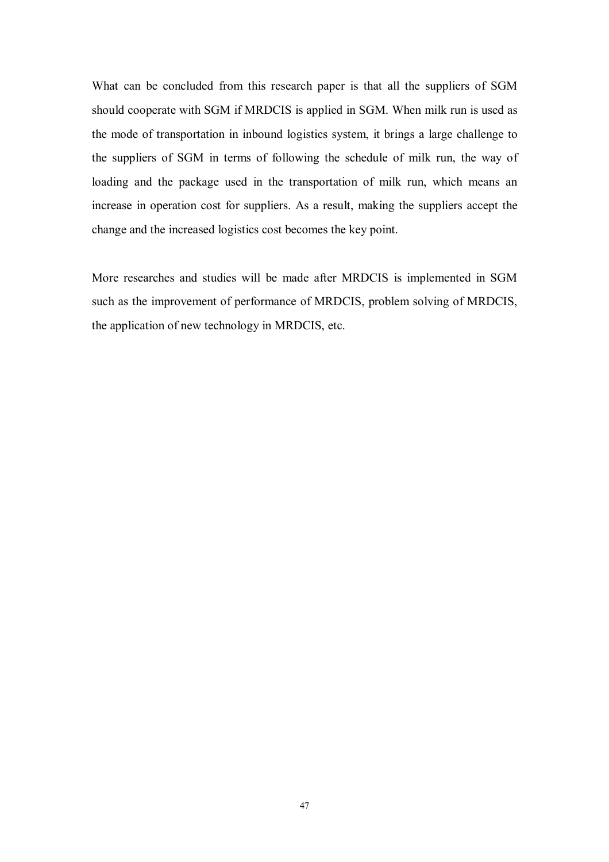What can be concluded from this research paper is that all the suppliers of SGM should cooperate with SGM if MRDCIS is applied in SGM. When milk run is used as the mode of transportation in inbound logistics system, it brings a large challenge to the suppliers of SGM in terms of following the schedule of milk run, the way of loading and the package used in the transportation of milk run, which means an increase in operation cost for suppliers. As a result, making the suppliers accept the change and the increased logistics cost becomes the key point.

More researches and studies will be made after MRDCIS is implemented in SGM such as the improvement of performance of MRDCIS, problem solving of MRDCIS, the application of new technology in MRDCIS, etc.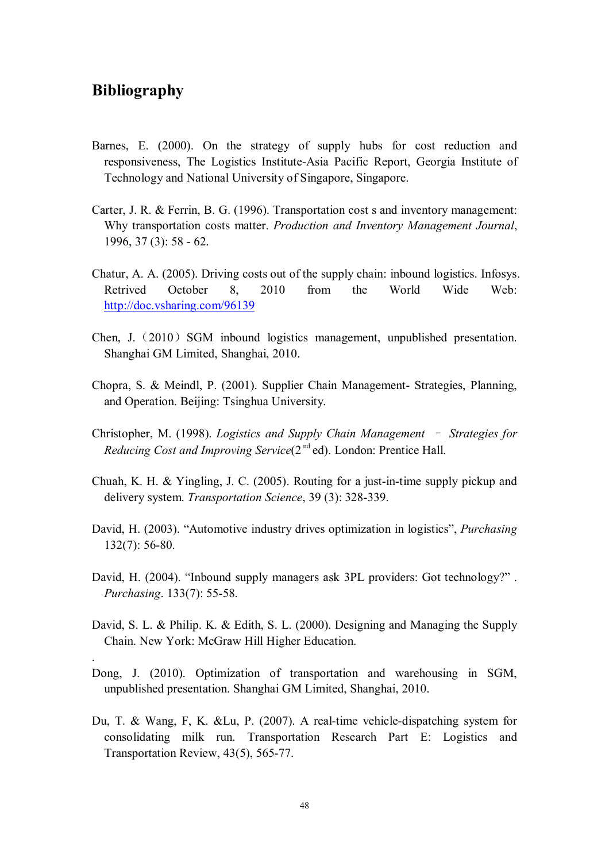### **Bibliography**

.

- Barnes, E. (2000). On the strategy of supply hubs for cost reduction and responsiveness, The Logistics Institute-Asia Pacific Report, Georgia Institute of Technology and National University of Singapore, Singapore.
- Carter, J. R. & Ferrin, B. G. (1996). Transportation cost s and inventory management: Why transportation costs matter. *Production and Inventory Management Journal*, 1996, 37 (3): 58 - 62.
- Chatur, A. A. (2005). Driving costs out of the supply chain: inbound logistics. Infosys. Retrived October 8, 2010 from the World Wide Web: http://doc.vsharing.com/96139
- Chen, J.  $(2010)$  SGM inbound logistics management, unpublished presentation. Shanghai GM Limited, Shanghai, 2010.
- Chopra, S. & Meindl, P. (2001). Supplier Chain Management- Strategies, Planning, and Operation. Beijing: Tsinghua University.
- Christopher, M. (1998). *Logistics and Supply Chain Management* – *Strategies for*  Reducing Cost and Improving Service(2<sup>nd</sup> ed). London: Prentice Hall.
- Chuah, K. H. & Yingling, J. C. (2005). Routing for a just-in-time supply pickup and delivery system. *Transportation Science*, 39 (3): 328-339.
- David, H. (2003). "Automotive industry drives optimization in logistics", *Purchasing*  132(7): 56-80.
- David, H. (2004). "Inbound supply managers ask 3PL providers: Got technology?". *Purchasing*. 133(7): 55-58.
- David, S. L. & Philip. K. & Edith, S. L. (2000). Designing and Managing the Supply Chain. New York: McGraw Hill Higher Education.
- Dong, J. (2010). Optimization of transportation and warehousing in SGM, unpublished presentation. Shanghai GM Limited, Shanghai, 2010.
- Du, T. & Wang, F, K. &Lu, P. (2007). A real-time vehicle-dispatching system for consolidating milk run. Transportation Research Part E: Logistics and Transportation Review, 43(5), 565-77.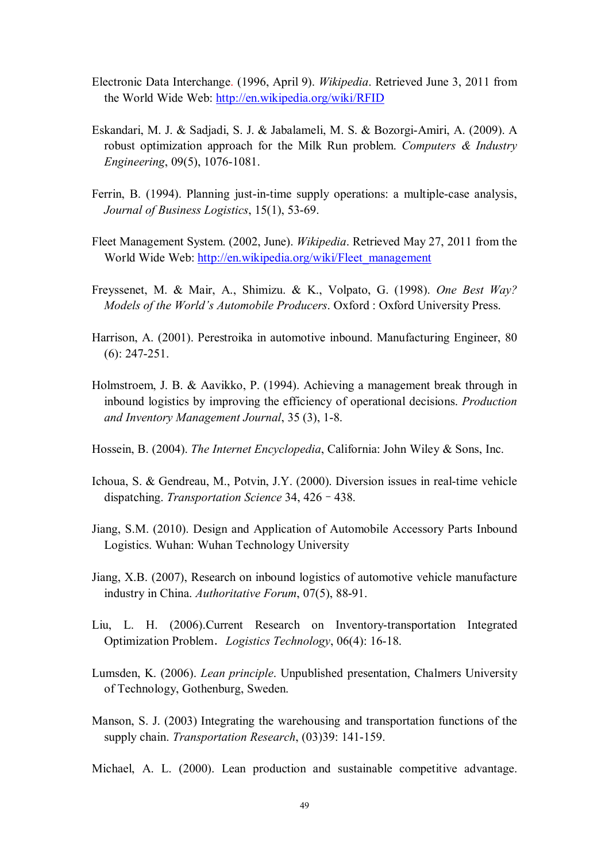- Electronic Data Interchange. (1996, April 9). *Wikipedia*. Retrieved June 3, 2011 from the World Wide Web: http://en.wikipedia.org/wiki/RFID
- Eskandari, M. J. & Sadjadi, S. J. & Jabalameli, M. S. & Bozorgi-Amiri, A. (2009). A robust optimization approach for the Milk Run problem. *Computers & Industry Engineering*, 09(5), 1076-1081.
- Ferrin, B. (1994). Planning just-in-time supply operations: a multiple-case analysis, *Journal of Business Logistics*, 15(1), 53-69.
- Fleet Management System. (2002, June). *Wikipedia*. Retrieved May 27, 2011 from the World Wide Web: http://en.wikipedia.org/wiki/Fleet\_management
- Freyssenet, M. & Mair, A., Shimizu. & K., Volpato, G. (1998). *One Best Way? Models of the World's Automobile Producers*. Oxford : Oxford University Press.
- Harrison, A. (2001). Perestroika in automotive inbound. Manufacturing Engineer, 80 (6): 247-251.
- Holmstroem, J. B. & Aavikko, P. (1994). Achieving a management break through in inbound logistics by improving the efficiency of operational decisions. *Production and Inventory Management Journal*, 35 (3), 1-8.
- Hossein, B. (2004). *The Internet Encyclopedia*, California: John Wiley & Sons, Inc.
- Ichoua, S. & Gendreau, M., Potvin, J.Y. (2000). Diversion issues in real-time vehicle dispatching. *Transportation Science* 34, 426–438.
- Jiang, S.M. (2010). Design and Application of Automobile Accessory Parts Inbound Logistics. Wuhan: Wuhan Technology University
- Jiang, X.B. (2007), Research on inbound logistics of automotive vehicle manufacture industry in China. *Authoritative Forum*, 07(5), 88-91.
- Liu, L. H. (2006).Current Research on Inventory-transportation Integrated Optimization Problem.*Logistics Technology*, 06(4): 16-18.
- Lumsden, K. (2006). *Lean principle*. Unpublished presentation, Chalmers University of Technology, Gothenburg, Sweden.
- Manson, S. J. (2003) Integrating the warehousing and transportation functions of the supply chain. *Transportation Research*, (03)39: 141-159.
- Michael, A. L. (2000). Lean production and sustainable competitive advantage.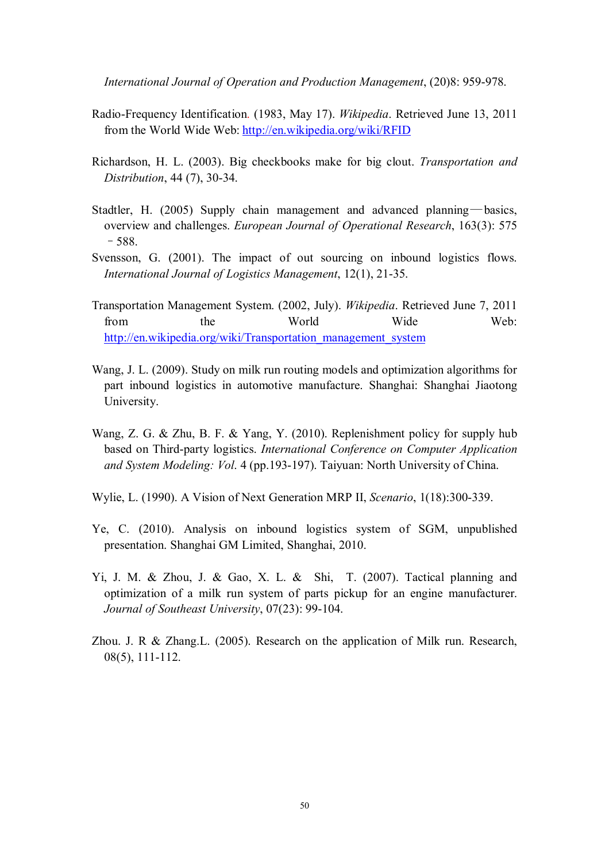*International Journal of Operation and Production Management*, (20)8: 959-978.

- Radio-Frequency Identification. (1983, May 17). *Wikipedia*. Retrieved June 13, 2011 from the World Wide Web: http://en.wikipedia.org/wiki/RFID
- Richardson, H. L. (2003). Big checkbooks make for big clout. *Transportation and Distribution*, 44 (7), 30-34.
- Stadtler, H. (2005) Supply chain management and advanced planning—basics, overview and challenges. *European Journal of Operational Research*, 163(3): 575 –588.
- Svensson, G. (2001). The impact of out sourcing on inbound logistics flows. *International Journal of Logistics Management*, 12(1), 21-35.
- Transportation Management System. (2002, July). *Wikipedia*. Retrieved June 7, 2011 from the World Wide Web: http://en.wikipedia.org/wiki/Transportation\_management\_system
- Wang, J. L. (2009). Study on milk run routing models and optimization algorithms for part inbound logistics in automotive manufacture. Shanghai: Shanghai Jiaotong University.
- Wang, Z. G. & Zhu, B. F. & Yang, Y. (2010). Replenishment policy for supply hub based on Third-party logistics. *International Conference on Computer Application and System Modeling: Vol*. 4 (pp.193-197). Taiyuan: North University of China.
- Wylie, L. (1990). A Vision of Next Generation MRP II, *Scenario*, 1(18):300-339.
- Ye, C. (2010). Analysis on inbound logistics system of SGM, unpublished presentation. Shanghai GM Limited, Shanghai, 2010.
- Yi, J. M. & Zhou, J. & Gao, X. L. & Shi, T. (2007). Tactical planning and optimization of a milk run system of parts pickup for an engine manufacturer. *Journal of Southeast University*, 07(23): 99-104.
- Zhou. J. R & Zhang.L. (2005). Research on the application of Milk run. Research, 08(5), 111-112.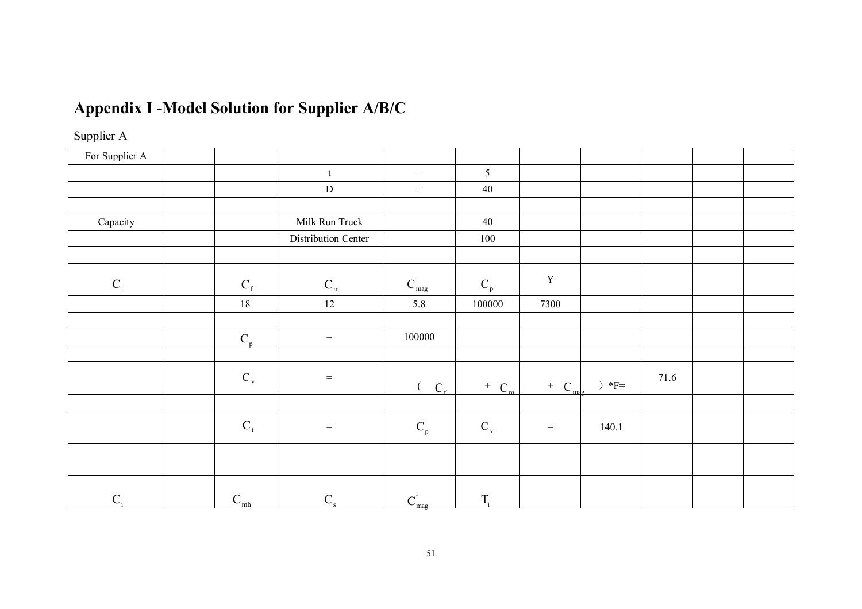# **Appendix I -Model Solution for Supplier A/B/C**

# Supplier A

| For Supplier A |              |                                   |                           |                           |                                     |               |      |  |
|----------------|--------------|-----------------------------------|---------------------------|---------------------------|-------------------------------------|---------------|------|--|
|                |              | t                                 | $=$                       | 5                         |                                     |               |      |  |
|                |              | ${\rm D}$                         | $=$                       | $40\,$                    |                                     |               |      |  |
|                |              |                                   |                           |                           |                                     |               |      |  |
| Capacity       |              | Milk Run Truck                    |                           | 40                        |                                     |               |      |  |
|                |              | Distribution Center               |                           | $100\,$                   |                                     |               |      |  |
|                |              |                                   |                           |                           |                                     |               |      |  |
| $C_t$          | $C_{\rm f}$  | $\mathbf{C}_{\rm m}$              | $\mathbf{C}_{\text{mag}}$ | $\mathbf{C}_{\rm p}$      | $\mathbf Y$                         |               |      |  |
|                | 18           | 12                                | 5.8                       | 100000                    | 7300                                |               |      |  |
|                |              |                                   |                           |                           |                                     |               |      |  |
|                | $C_{p}$      | $\hspace{0.1in} = \hspace{0.1in}$ | 100000                    |                           |                                     |               |      |  |
|                |              |                                   |                           |                           |                                     |               |      |  |
|                | $C_{v}$      | $\,=\,$                           | $C_f$                     | $+$ C <sub>m</sub>        | $C_{\text{ma}}$<br>$\boldsymbol{+}$ | $)\,\,*_{F=}$ | 71.6 |  |
|                |              |                                   |                           |                           |                                     |               |      |  |
|                | $C_t$        | $\,=\,$                           | $\mathbf{C}_{\rm p}$      | $\mathrm{C}_{\mathrm{v}}$ | $=$                                 | 140.1         |      |  |
|                |              |                                   |                           |                           |                                     |               |      |  |
| $C_i$          | $C_{\rm mh}$ | $C_{\rm s}$                       | $C_{mag}^{'}$             | $T_i$                     |                                     |               |      |  |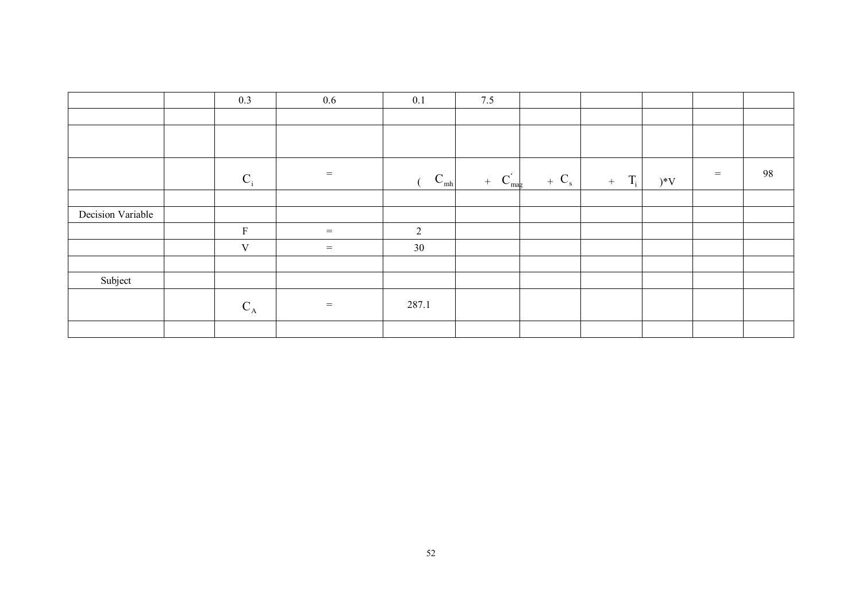|                   | 0.3         | $0.6\,$ | 0.1             | 7.5                  |         |              |       |     |    |
|-------------------|-------------|---------|-----------------|----------------------|---------|--------------|-------|-----|----|
|                   |             |         |                 |                      |         |              |       |     |    |
|                   |             |         |                 |                      |         |              |       |     |    |
|                   | $C_i$       | $=$     | $C_{\text{mh}}$ | $C_{mag}^{'}$<br>$+$ | $+ C_s$ | $T_i$<br>$+$ | $)*V$ | $=$ | 98 |
|                   |             |         |                 |                      |         |              |       |     |    |
| Decision Variable |             |         |                 |                      |         |              |       |     |    |
|                   | $\rm F$     | $=$     | $\overline{2}$  |                      |         |              |       |     |    |
|                   | $\mathbf V$ | $=$     | 30              |                      |         |              |       |     |    |
|                   |             |         |                 |                      |         |              |       |     |    |
| Subject           |             |         |                 |                      |         |              |       |     |    |
|                   | $C_A$       | $=$     | 287.1           |                      |         |              |       |     |    |
|                   |             |         |                 |                      |         |              |       |     |    |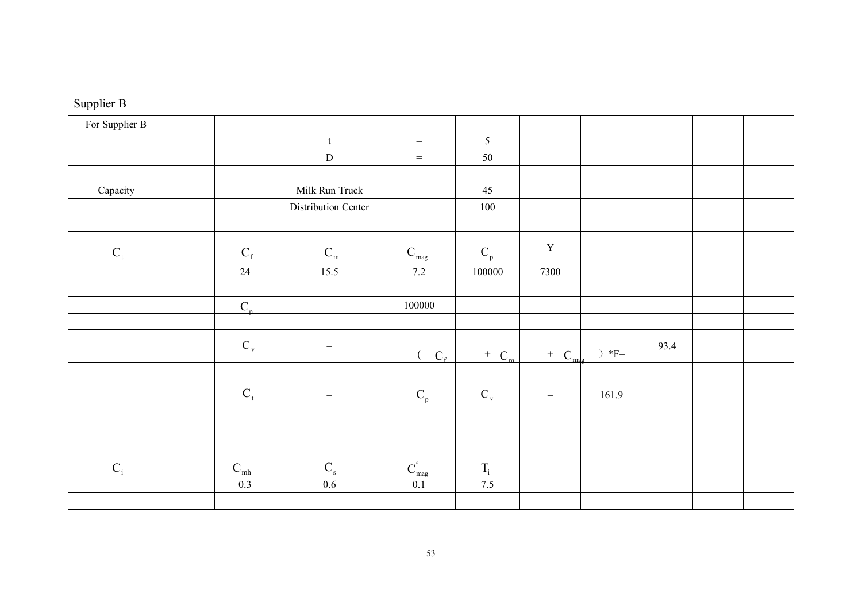| Supplier B |  |
|------------|--|
|------------|--|

| For Supplier B |                           |                                |                           |                           |                 |            |      |  |
|----------------|---------------------------|--------------------------------|---------------------------|---------------------------|-----------------|------------|------|--|
|                |                           | $\ensuremath{\mathbf{t}}$      | $=$                       | 5                         |                 |            |      |  |
|                |                           | ${\bf D}$                      | $=$                       | 50                        |                 |            |      |  |
|                |                           |                                |                           |                           |                 |            |      |  |
| Capacity       |                           | Milk Run Truck                 |                           | 45                        |                 |            |      |  |
|                |                           | Distribution Center            |                           | 100                       |                 |            |      |  |
|                |                           |                                |                           |                           |                 |            |      |  |
| $C_t$          | $\mathbf{C}_\text{f}$     | $C_{\scriptscriptstyle \rm m}$ | $\mathbf{C}_{\text{mag}}$ | $\mathbf{C}_\mathrm{p}$   | $\mathbf Y$     |            |      |  |
|                | 24                        | 15.5                           | 7.2                       | 100000                    | 7300            |            |      |  |
|                |                           |                                |                           |                           |                 |            |      |  |
|                | $C_{n}$                   | $=$                            | 100000                    |                           |                 |            |      |  |
|                |                           |                                |                           |                           |                 |            |      |  |
|                | $\mathrm{C}_{\mathrm{v}}$ | $=$                            | $C_{\rm f}$               | $+$ C <sub>m</sub>        | $\, +$<br>$C_m$ | $)\,\,*F=$ | 93.4 |  |
|                |                           |                                |                           |                           |                 |            |      |  |
|                | $\mathbf{C}_\mathrm{t}$   | $=$                            | $\mathbf{C}_\mathrm{p}$   | $\mathrm{C}_{\mathrm{v}}$ | $\equiv$        | 161.9      |      |  |
|                |                           |                                |                           |                           |                 |            |      |  |
| $C_i$          | $C_{\rm mh}$              | $\mathbf{C}_\mathrm{s}$        | $C_{\text{mag}}^{\prime}$ | $T_i$                     |                 |            |      |  |
|                | 0.3                       | $0.6\,$                        | 0.1                       | 7.5                       |                 |            |      |  |
|                |                           |                                |                           |                           |                 |            |      |  |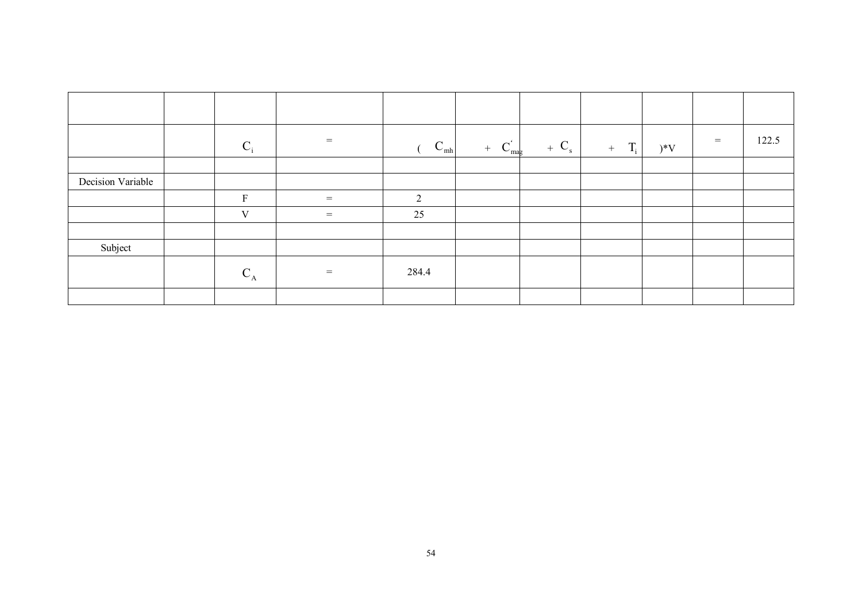|                   | $C_i$       | $=$               | $\mathbf{C}_{\text{mh}}$ | $+ C_{\text{mag}}^{\prime}$ | $+ C_{s}$ | $+$ T <sub>i</sub> | $)*V$ | $=$ | 122.5 |
|-------------------|-------------|-------------------|--------------------------|-----------------------------|-----------|--------------------|-------|-----|-------|
|                   |             |                   |                          |                             |           |                    |       |     |       |
| Decision Variable |             |                   |                          |                             |           |                    |       |     |       |
|                   | $\mathbf F$ | $=$               | $\mathcal{D}$            |                             |           |                    |       |     |       |
|                   | V           | $\qquad \qquad =$ | 25                       |                             |           |                    |       |     |       |
|                   |             |                   |                          |                             |           |                    |       |     |       |
| Subject           |             |                   |                          |                             |           |                    |       |     |       |
|                   | $C_A$       | $=$               | 284.4                    |                             |           |                    |       |     |       |
|                   |             |                   |                          |                             |           |                    |       |     |       |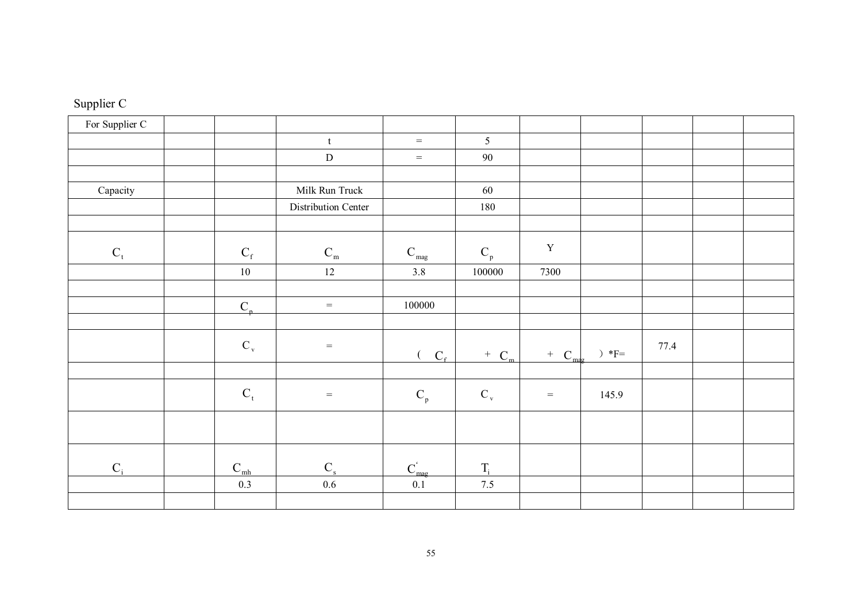| Supplier C |  |
|------------|--|
|------------|--|

| For Supplier C          |                           |                                   |                           |                           |                   |       |      |  |
|-------------------------|---------------------------|-----------------------------------|---------------------------|---------------------------|-------------------|-------|------|--|
|                         |                           | $\ensuremath{\mathbf{t}}$         | $=$                       | 5                         |                   |       |      |  |
|                         |                           | ${\bf D}$                         | $=$                       | 90                        |                   |       |      |  |
|                         |                           |                                   |                           |                           |                   |       |      |  |
| Capacity                |                           | Milk Run Truck                    |                           | 60                        |                   |       |      |  |
|                         |                           | Distribution Center               |                           | 180                       |                   |       |      |  |
|                         |                           |                                   |                           |                           |                   |       |      |  |
| $\mathbf{C}_\mathrm{t}$ | $\mathbf{C}_{\mathrm{f}}$ | $\mathbf{C}_{\rm m}$              | $\mathbf{C}_{\text{mag}}$ | $\mathbf{C}_{\rm p}$      | $\mathbf Y$       |       |      |  |
|                         | $10\,$                    | 12                                | 3.8                       | 100000                    | 7300              |       |      |  |
|                         |                           |                                   |                           |                           |                   |       |      |  |
|                         | $C_{p}$                   | $=$                               | 100000                    |                           |                   |       |      |  |
|                         |                           |                                   |                           |                           |                   |       |      |  |
|                         | $\mathrm{C}_{\mathrm{v}}$ | $\hspace{1.6cm} = \hspace{1.6cm}$ | $C_{\rm f}$               | $+$ C <sub>m</sub>        | $\pm$<br>$C_{ma}$ |       | 77.4 |  |
|                         |                           |                                   |                           |                           |                   |       |      |  |
|                         | $C_t$                     | $\equiv$                          | $\mathbf{C}_{\rm p}$      | $\mathrm{C}_{\mathrm{v}}$ | $\,=\,$           | 145.9 |      |  |
|                         |                           |                                   |                           |                           |                   |       |      |  |
| $C_i$                   | $C_{\rm mh}$              | $\mathbf{C}_\mathrm{s}$           | $C_{\text{mag}}^{\prime}$ | $T_i$                     |                   |       |      |  |
|                         | 0.3                       | $0.6\,$                           | 0.1                       | 7.5                       |                   |       |      |  |
|                         |                           |                                   |                           |                           |                   |       |      |  |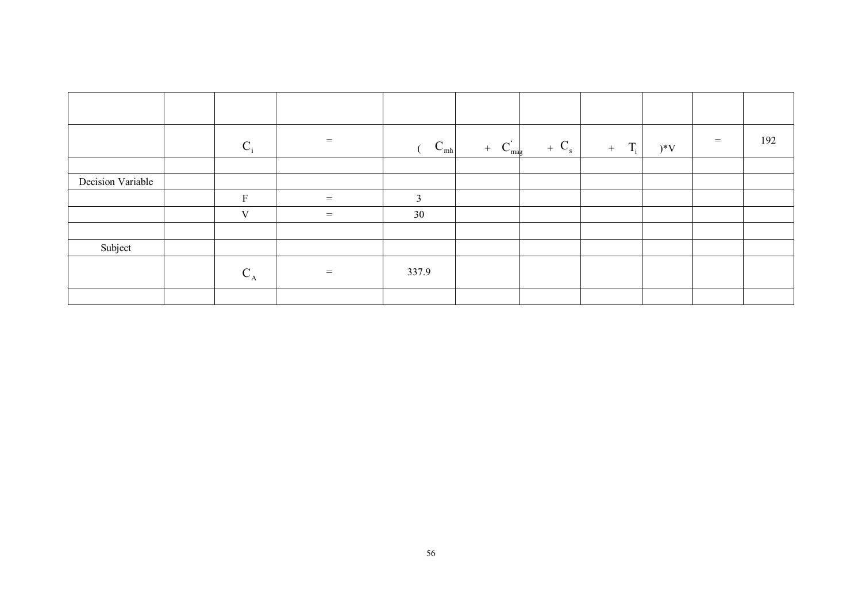|                   | $C_i$       | $=$     | $\mathbf{C}_{\text{mh}}$ | $C_{\text{mag}}^{'}$<br>$+$ | $+ Cs$ | $T_i$<br>$+$ | $)*V$ | $=$ | 192 |
|-------------------|-------------|---------|--------------------------|-----------------------------|--------|--------------|-------|-----|-----|
|                   |             |         |                          |                             |        |              |       |     |     |
| Decision Variable |             |         |                          |                             |        |              |       |     |     |
|                   | $\mathbf F$ | $\,=\,$ | 3                        |                             |        |              |       |     |     |
|                   | V           | $=$     | 30                       |                             |        |              |       |     |     |
|                   |             |         |                          |                             |        |              |       |     |     |
| Subject           |             |         |                          |                             |        |              |       |     |     |
|                   | $C_A$       | $=$     | 337.9                    |                             |        |              |       |     |     |
|                   |             |         |                          |                             |        |              |       |     |     |